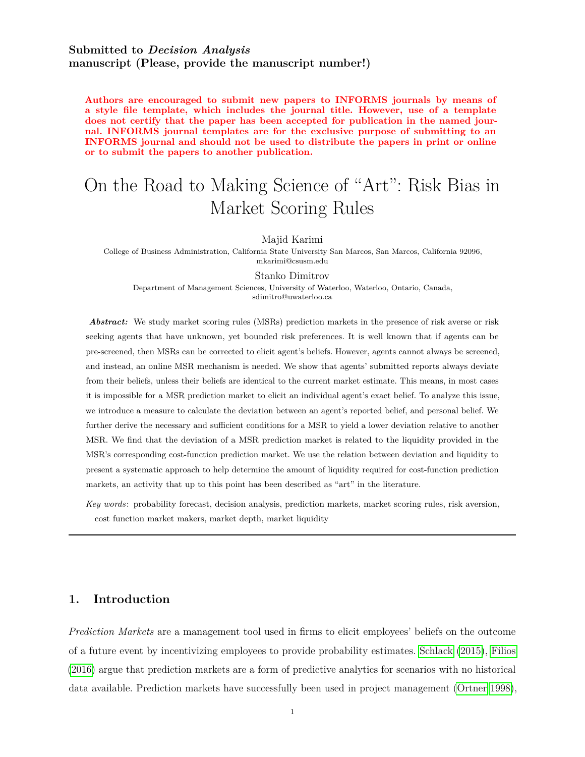## **Submitted to** *Decision Analysis* **manuscript (Please, provide the manuscript number!)**

**Authors are encouraged to submit new papers to INFORMS journals by means of a style file template, which includes the journal title. However, use of a template does not certify that the paper has been accepted for publication in the named journal. INFORMS journal templates are for the exclusive purpose of submitting to an INFORMS journal and should not be used to distribute the papers in print or online or to submit the papers to another publication.**

# On the Road to Making Science of "Art": Risk Bias in Market Scoring Rules

Majid Karimi

College of Business Administration, California State University San Marcos, San Marcos, California 92096, mkarimi@csusm.edu

Stanko Dimitrov

Department of Management Sciences, University of Waterloo, Waterloo, Ontario, Canada, sdimitro@uwaterloo.ca

*Abstract:* We study market scoring rules (MSRs) prediction markets in the presence of risk averse or risk seeking agents that have unknown, yet bounded risk preferences. It is well known that if agents can be pre-screened, then MSRs can be corrected to elicit agent's beliefs. However, agents cannot always be screened, and instead, an online MSR mechanism is needed. We show that agents' submitted reports always deviate from their beliefs, unless their beliefs are identical to the current market estimate. This means, in most cases it is impossible for a MSR prediction market to elicit an individual agent's exact belief. To analyze this issue, we introduce a measure to calculate the deviation between an agent's reported belief, and personal belief. We further derive the necessary and sufficient conditions for a MSR to yield a lower deviation relative to another MSR. We find that the deviation of a MSR prediction market is related to the liquidity provided in the MSR's corresponding cost-function prediction market. We use the relation between deviation and liquidity to present a systematic approach to help determine the amount of liquidity required for cost-function prediction markets, an activity that up to this point has been described as "art" in the literature.

*Key words* : probability forecast, decision analysis, prediction markets, market scoring rules, risk aversion, cost function market makers, market depth, market liquidity

## **1. Introduction**

*Prediction Markets* are a management tool used in firms to elicit employees' beliefs on the outcome of a future event by incentivizing employees to provide probability estimates. [Schlack](#page-29-0) [\(2015\)](#page-29-0), [Filios](#page-27-0) [\(2016\)](#page-27-0) argue that prediction markets are a form of predictive analytics for scenarios with no historical data available. Prediction markets have successfully been used in project management [\(Ortner 1998\)](#page-28-0),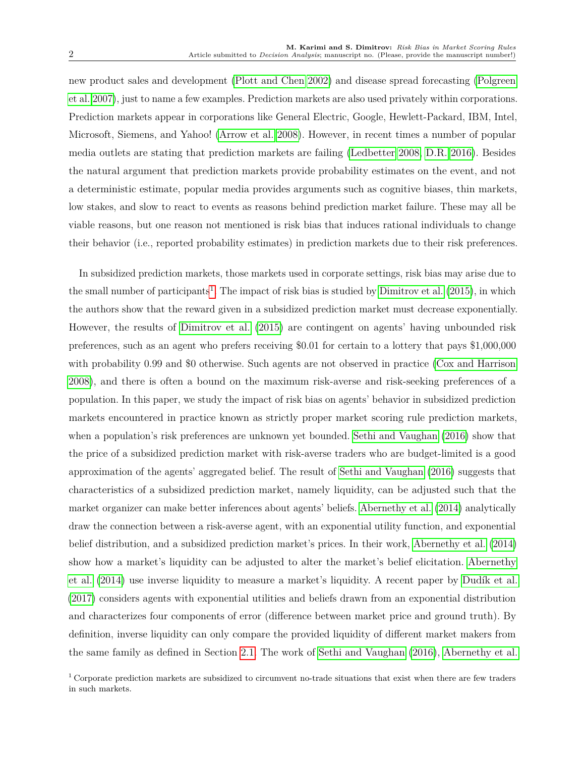new product sales and development [\(Plott and Chen 2002\)](#page-28-1) and disease spread forecasting [\(Polgreen](#page-28-2) [et al. 2007\)](#page-28-2), just to name a few examples. Prediction markets are also used privately within corporations. Prediction markets appear in corporations like General Electric, Google, Hewlett-Packard, IBM, Intel, Microsoft, Siemens, and Yahoo! [\(Arrow et al. 2008\)](#page-26-0). However, in recent times a number of popular media outlets are stating that prediction markets are failing [\(Ledbetter 2008,](#page-28-3) [D.R. 2016\)](#page-27-1). Besides the natural argument that prediction markets provide probability estimates on the event, and not a deterministic estimate, popular media provides arguments such as cognitive biases, thin markets, low stakes, and slow to react to events as reasons behind prediction market failure. These may all be viable reasons, but one reason not mentioned is risk bias that induces rational individuals to change their behavior (i.e., reported probability estimates) in prediction markets due to their risk preferences.

In subsidized prediction markets, those markets used in corporate settings, risk bias may arise due to the small number of participants<sup>[1](#page-1-0)</sup>. The impact of risk bias is studied by [Dimitrov et al.](#page-27-2) [\(2015\)](#page-27-2), in which the authors show that the reward given in a subsidized prediction market must decrease exponentially. However, the results of [Dimitrov et al.](#page-27-2) [\(2015\)](#page-27-2) are contingent on agents' having unbounded risk preferences, such as an agent who prefers receiving \$0.01 for certain to a lottery that pays \$1,000,000 with probability 0.99 and \$0 otherwise. Such agents are not observed in practice [\(Cox and Harrison](#page-27-3) [2008\)](#page-27-3), and there is often a bound on the maximum risk-averse and risk-seeking preferences of a population. In this paper, we study the impact of risk bias on agents' behavior in subsidized prediction markets encountered in practice known as strictly proper market scoring rule prediction markets, when a population's risk preferences are unknown yet bounded. [Sethi and Vaughan](#page-29-1) [\(2016\)](#page-29-1) show that the price of a subsidized prediction market with risk-averse traders who are budget-limited is a good approximation of the agents' aggregated belief. The result of [Sethi and Vaughan](#page-29-1) [\(2016\)](#page-29-1) suggests that characteristics of a subsidized prediction market, namely liquidity, can be adjusted such that the market organizer can make better inferences about agents' beliefs. [Abernethy et al.](#page-26-1) [\(2014\)](#page-26-1) analytically draw the connection between a risk-averse agent, with an exponential utility function, and exponential belief distribution, and a subsidized prediction market's prices. In their work, [Abernethy et al.](#page-26-1) [\(2014\)](#page-26-1) show how a market's liquidity can be adjusted to alter the market's belief elicitation. [Abernethy](#page-26-1) [et al.](#page-26-1) [\(2014\)](#page-26-1) use inverse liquidity to measure a market's liquidity. A recent paper by [Dudík et al.](#page-27-4) [\(2017\)](#page-27-4) considers agents with exponential utilities and beliefs drawn from an exponential distribution and characterizes four components of error (difference between market price and ground truth). By definition, inverse liquidity can only compare the provided liquidity of different market makers from the same family as defined in Section [2.1.](#page-4-0) The work of [Sethi and Vaughan](#page-29-1) [\(2016\)](#page-29-1), [Abernethy et al.](#page-26-1)

<span id="page-1-0"></span><sup>1</sup> Corporate prediction markets are subsidized to circumvent no-trade situations that exist when there are few traders in such markets.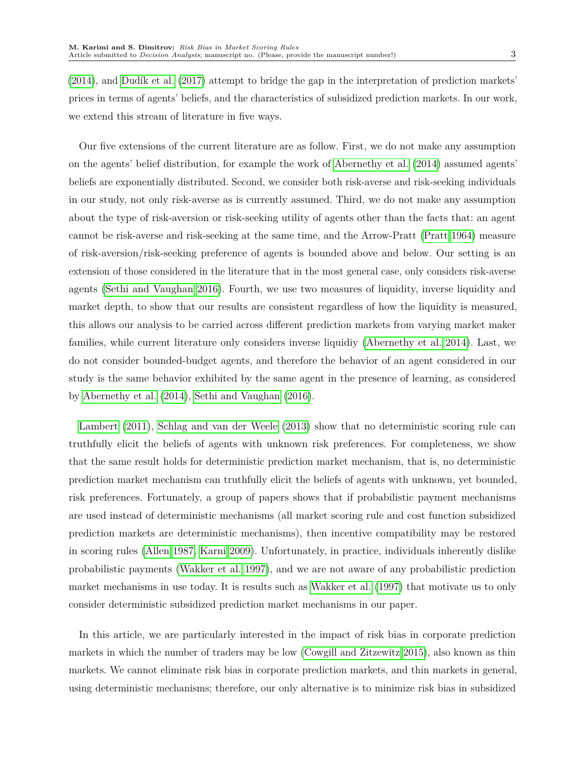[\(2014\)](#page-26-1), and [Dudík et al.](#page-27-4) [\(2017\)](#page-27-4) attempt to bridge the gap in the interpretation of prediction markets' prices in terms of agents' beliefs, and the characteristics of subsidized prediction markets. In our work, we extend this stream of literature in five ways.

Our five extensions of the current literature are as follow. First, we do not make any assumption on the agents' belief distribution, for example the work of [Abernethy et al.](#page-26-1) [\(2014\)](#page-26-1) assumed agents' beliefs are exponentially distributed. Second, we consider both risk-averse and risk-seeking individuals in our study, not only risk-averse as is currently assumed. Third, we do not make any assumption about the type of risk-aversion or risk-seeking utility of agents other than the facts that: an agent cannot be risk-averse and risk-seeking at the same time, and the Arrow-Pratt [\(Pratt 1964\)](#page-28-4) measure of risk-aversion/risk-seeking preference of agents is bounded above and below. Our setting is an extension of those considered in the literature that in the most general case, only considers risk-averse agents [\(Sethi and Vaughan 2016\)](#page-29-1). Fourth, we use two measures of liquidity, inverse liquidity and market depth, to show that our results are consistent regardless of how the liquidity is measured, this allows our analysis to be carried across different prediction markets from varying market maker families, while current literature only considers inverse liquidiy [\(Abernethy et al. 2014\)](#page-26-1). Last, we do not consider bounded-budget agents, and therefore the behavior of an agent considered in our study is the same behavior exhibited by the same agent in the presence of learning, as considered by [Abernethy et al.](#page-26-1) [\(2014\)](#page-26-1), [Sethi and Vaughan](#page-29-1) [\(2016\)](#page-29-1).

[Lambert](#page-28-5) [\(2011\)](#page-28-5), [Schlag and van der Weele](#page-29-2) [\(2013\)](#page-29-2) show that no deterministic scoring rule can truthfully elicit the beliefs of agents with unknown risk preferences. For completeness, we show that the same result holds for deterministic prediction market mechanism, that is, no deterministic prediction market mechanism can truthfully elicit the beliefs of agents with unknown, yet bounded, risk preferences. Fortunately, a group of papers shows that if probabilistic payment mechanisms are used instead of deterministic mechanisms (all market scoring rule and cost function subsidized prediction markets are deterministic mechanisms), then incentive compatibility may be restored in scoring rules [\(Allen 1987,](#page-26-2) [Karni 2009\)](#page-27-5). Unfortunately, in practice, individuals inherently dislike probabilistic payments [\(Wakker et al. 1997\)](#page-29-3), and we are not aware of any probabilistic prediction market mechanisms in use today. It is results such as [Wakker et al.](#page-29-3) [\(1997\)](#page-29-3) that motivate us to only consider deterministic subsidized prediction market mechanisms in our paper.

In this article, we are particularly interested in the impact of risk bias in corporate prediction markets in which the number of traders may be low [\(Cowgill and Zitzewitz 2015\)](#page-27-6), also known as thin markets. We cannot eliminate risk bias in corporate prediction markets, and thin markets in general, using deterministic mechanisms; therefore, our only alternative is to minimize risk bias in subsidized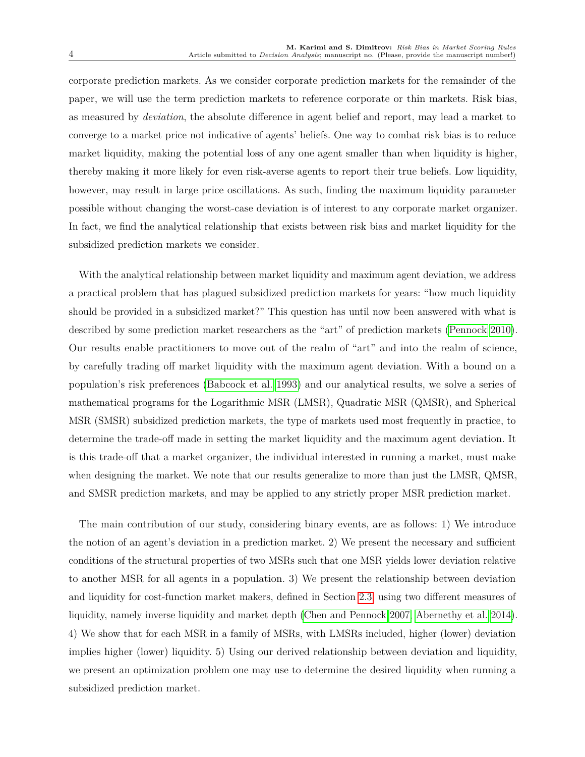corporate prediction markets. As we consider corporate prediction markets for the remainder of the paper, we will use the term prediction markets to reference corporate or thin markets. Risk bias, as measured by *deviation*, the absolute difference in agent belief and report, may lead a market to converge to a market price not indicative of agents' beliefs. One way to combat risk bias is to reduce market liquidity, making the potential loss of any one agent smaller than when liquidity is higher, thereby making it more likely for even risk-averse agents to report their true beliefs. Low liquidity, however, may result in large price oscillations. As such, finding the maximum liquidity parameter possible without changing the worst-case deviation is of interest to any corporate market organizer. In fact, we find the analytical relationship that exists between risk bias and market liquidity for the subsidized prediction markets we consider.

With the analytical relationship between market liquidity and maximum agent deviation, we address a practical problem that has plagued subsidized prediction markets for years: "how much liquidity should be provided in a subsidized market?" This question has until now been answered with what is described by some prediction market researchers as the "art" of prediction markets [\(Pennock 2010\)](#page-28-6). Our results enable practitioners to move out of the realm of "art" and into the realm of science, by carefully trading off market liquidity with the maximum agent deviation. With a bound on a population's risk preferences [\(Babcock et al. 1993\)](#page-26-3) and our analytical results, we solve a series of mathematical programs for the Logarithmic MSR (LMSR), Quadratic MSR (QMSR), and Spherical MSR (SMSR) subsidized prediction markets, the type of markets used most frequently in practice, to determine the trade-off made in setting the market liquidity and the maximum agent deviation. It is this trade-off that a market organizer, the individual interested in running a market, must make when designing the market. We note that our results generalize to more than just the LMSR, QMSR, and SMSR prediction markets, and may be applied to any strictly proper MSR prediction market.

The main contribution of our study, considering binary events, are as follows: 1) We introduce the notion of an agent's deviation in a prediction market. 2) We present the necessary and sufficient conditions of the structural properties of two MSRs such that one MSR yields lower deviation relative to another MSR for all agents in a population. 3) We present the relationship between deviation and liquidity for cost-function market makers, defined in Section [2.3,](#page-6-0) using two different measures of liquidity, namely inverse liquidity and market depth [\(Chen and Pennock 2007,](#page-27-7) [Abernethy et al. 2014\)](#page-26-1). 4) We show that for each MSR in a family of MSRs, with LMSRs included, higher (lower) deviation implies higher (lower) liquidity. 5) Using our derived relationship between deviation and liquidity, we present an optimization problem one may use to determine the desired liquidity when running a subsidized prediction market.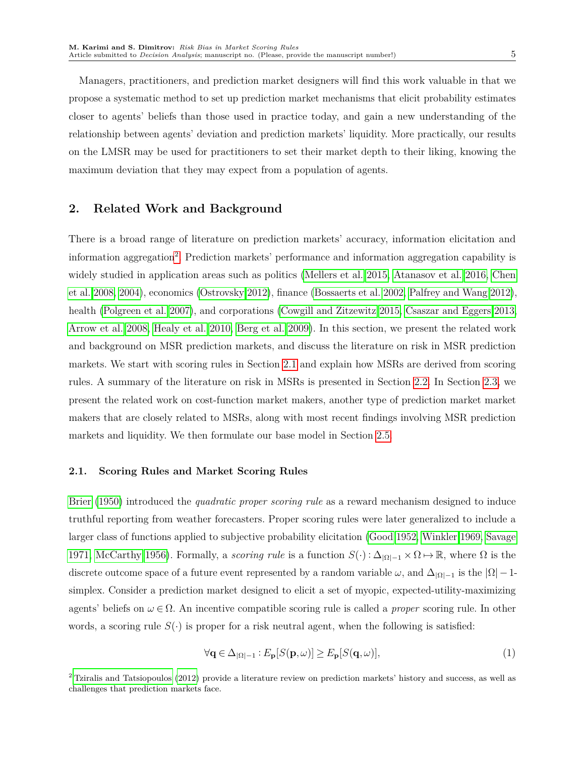Managers, practitioners, and prediction market designers will find this work valuable in that we propose a systematic method to set up prediction market mechanisms that elicit probability estimates closer to agents' beliefs than those used in practice today, and gain a new understanding of the relationship between agents' deviation and prediction markets' liquidity. More practically, our results on the LMSR may be used for practitioners to set their market depth to their liking, knowing the maximum deviation that they may expect from a population of agents.

## **2. Related Work and Background**

There is a broad range of literature on prediction markets' accuracy, information elicitation and information aggregation<sup>[2](#page-4-1)</sup>. Prediction markets' performance and information aggregation capability is widely studied in application areas such as politics [\(Mellers et al. 2015,](#page-28-7) [Atanasov et al. 2016,](#page-26-4) [Chen](#page-26-5) [et al. 2008,](#page-26-5) [2004\)](#page-26-6), economics [\(Ostrovsky 2012\)](#page-28-8), finance [\(Bossaerts et al. 2002,](#page-26-7) [Palfrey and Wang 2012\)](#page-28-9), health [\(Polgreen et al. 2007\)](#page-28-2), and corporations [\(Cowgill and Zitzewitz 2015,](#page-27-6) [Csaszar and Eggers 2013,](#page-27-8) [Arrow et al. 2008,](#page-26-0) [Healy et al. 2010,](#page-27-9) [Berg et al. 2009\)](#page-26-8). In this section, we present the related work and background on MSR prediction markets, and discuss the literature on risk in MSR prediction markets. We start with scoring rules in Section [2.1](#page-4-0) and explain how MSRs are derived from scoring rules. A summary of the literature on risk in MSRs is presented in Section [2.2.](#page-6-1) In Section [2.3,](#page-6-0) we present the related work on cost-function market makers, another type of prediction market market makers that are closely related to MSRs, along with most recent findings involving MSR prediction markets and liquidity. We then formulate our base model in Section [2.5.](#page-10-0)

#### <span id="page-4-0"></span>**2.1. Scoring Rules and Market Scoring Rules**

[Brier](#page-26-9) [\(1950\)](#page-26-9) introduced the *quadratic proper scoring rule* as a reward mechanism designed to induce truthful reporting from weather forecasters. Proper scoring rules were later generalized to include a larger class of functions applied to subjective probability elicitation [\(Good 1952,](#page-27-10) [Winkler 1969,](#page-29-4) [Savage](#page-29-5) [1971,](#page-29-5) [McCarthy 1956\)](#page-28-10). Formally, a *scoring rule* is a function  $S(\cdot): \Delta_{|\Omega|-1} \times \Omega \mapsto \mathbb{R}$ , where  $\Omega$  is the discrete outcome space of a future event represented by a random variable  $\omega$ , and  $\Delta_{|\Omega|-1}$  is the  $|\Omega|-1$ simplex. Consider a prediction market designed to elicit a set of myopic, expected-utility-maximizing agents' beliefs on *ω* ∈ Ω. An incentive compatible scoring rule is called a *proper* scoring rule. In other words, a scoring rule  $S(\cdot)$  is proper for a risk neutral agent, when the following is satisfied:

<span id="page-4-2"></span>
$$
\forall \mathbf{q} \in \Delta_{|\Omega|-1} : E_{\mathbf{p}}[S(\mathbf{p}, \omega)] \ge E_{\mathbf{p}}[S(\mathbf{q}, \omega)],\tag{1}
$$

<span id="page-4-1"></span><sup>2</sup> [Tziralis and Tatsiopoulos](#page-29-6) [\(2012\)](#page-29-6) provide a literature review on prediction markets' history and success, as well as challenges that prediction markets face.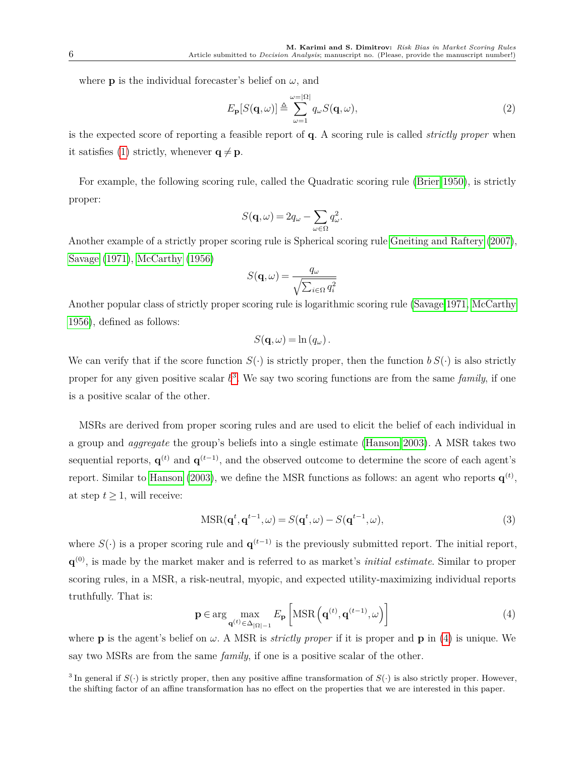where **p** is the individual forecaster's belief on  $\omega$ , and

$$
E_{\mathbf{p}}[S(\mathbf{q},\omega)] \triangleq \sum_{\omega=1}^{\omega=|\Omega|} q_{\omega} S(\mathbf{q},\omega),
$$
\n(2)

is the expected score of reporting a feasible report of **q**. A scoring rule is called *strictly proper* when it satisfies [\(1\)](#page-4-2) strictly, whenever  $q \neq p$ .

For example, the following scoring rule, called the Quadratic scoring rule [\(Brier 1950\)](#page-26-9), is strictly proper:

$$
S(\mathbf{q},\omega) = 2q_\omega - \sum_{\omega \in \Omega} q_\omega^2.
$$

Another example of a strictly proper scoring rule is Spherical scoring rule [Gneiting and Raftery](#page-27-11) [\(2007\)](#page-27-11), [Savage](#page-29-5) [\(1971\)](#page-29-5), [McCarthy](#page-28-10) [\(1956\)](#page-28-10)

$$
S(\mathbf{q}, \omega) = \frac{q_{\omega}}{\sqrt{\sum_{i \in \Omega} q_i^2}}
$$

Another popular class of strictly proper scoring rule is logarithmic scoring rule [\(Savage 1971,](#page-29-5) [McCarthy](#page-28-10) [1956\)](#page-28-10), defined as follows:

$$
S(\mathbf{q},\omega) = \ln (q_\omega).
$$

We can verify that if the score function  $S(\cdot)$  is strictly proper, then the function  $b S(\cdot)$  is also strictly proper for any given positive scalar *b* [3](#page-5-0) . We say two scoring functions are from the same *family*, if one is a positive scalar of the other.

MSRs are derived from proper scoring rules and are used to elicit the belief of each individual in a group and *aggregate* the group's beliefs into a single estimate [\(Hanson 2003\)](#page-27-12). A MSR takes two sequential reports,  $\mathbf{q}^{(t)}$  and  $\mathbf{q}^{(t-1)}$ , and the observed outcome to determine the score of each agent's report. Similar to [Hanson](#page-27-12) [\(2003\)](#page-27-12), we define the MSR functions as follows: an agent who reports  $\mathbf{q}^{(t)}$ , at step  $t \geq 1$ , will receive:

$$
MSR(\mathbf{q}^t, \mathbf{q}^{t-1}, \omega) = S(\mathbf{q}^t, \omega) - S(\mathbf{q}^{t-1}, \omega),
$$
\n(3)

where  $S(\cdot)$  is a proper scoring rule and  $\mathbf{q}^{(t-1)}$  is the previously submitted report. The initial report, **q** (0), is made by the market maker and is referred to as market's *initial estimate*. Similar to proper scoring rules, in a MSR, a risk-neutral, myopic, and expected utility-maximizing individual reports truthfully. That is:

<span id="page-5-1"></span>
$$
\mathbf{p} \in \arg\max_{\mathbf{q}^{(t)} \in \Delta_{|\Omega|-1}} E_{\mathbf{p}} \left[ \text{MSR}\left(\mathbf{q}^{(t)}, \mathbf{q}^{(t-1)}, \omega\right) \right]
$$
(4)

where **p** is the agent's belief on  $\omega$ . A MSR is *strictly proper* if it is proper and **p** in [\(4\)](#page-5-1) is unique. We say two MSRs are from the same *family*, if one is a positive scalar of the other.

<span id="page-5-0"></span><sup>3</sup> In general if  $S(\cdot)$  is strictly proper, then any positive affine transformation of  $S(\cdot)$  is also strictly proper. However, the shifting factor of an affine transformation has no effect on the properties that we are interested in this paper.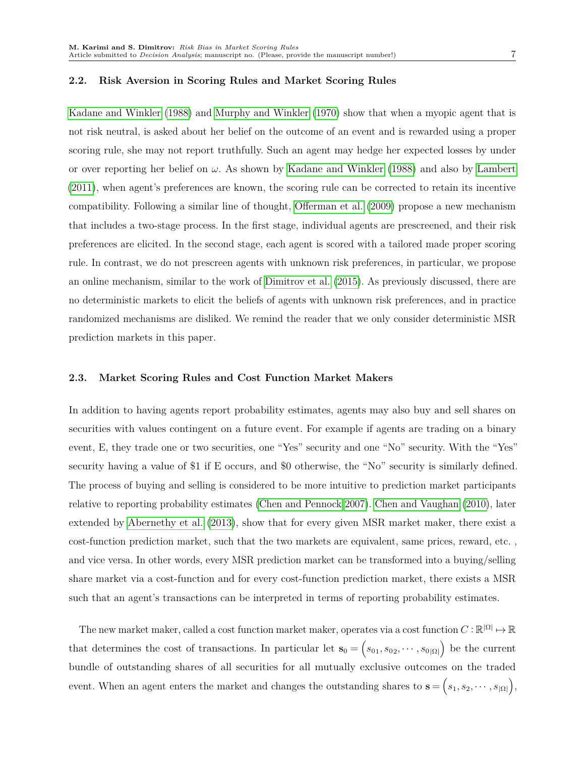#### <span id="page-6-1"></span>**2.2. Risk Aversion in Scoring Rules and Market Scoring Rules**

[Kadane and Winkler](#page-27-13) [\(1988\)](#page-27-13) and [Murphy and Winkler](#page-28-11) [\(1970\)](#page-28-11) show that when a myopic agent that is not risk neutral, is asked about her belief on the outcome of an event and is rewarded using a proper scoring rule, she may not report truthfully. Such an agent may hedge her expected losses by under or over reporting her belief on *ω*. As shown by [Kadane and Winkler](#page-27-13) [\(1988\)](#page-27-13) and also by [Lambert](#page-28-5) [\(2011\)](#page-28-5), when agent's preferences are known, the scoring rule can be corrected to retain its incentive compatibility. Following a similar line of thought, [Offerman et al.](#page-28-12) [\(2009\)](#page-28-12) propose a new mechanism that includes a two-stage process. In the first stage, individual agents are prescreened, and their risk preferences are elicited. In the second stage, each agent is scored with a tailored made proper scoring rule. In contrast, we do not prescreen agents with unknown risk preferences, in particular, we propose an online mechanism, similar to the work of [Dimitrov et al.](#page-27-2) [\(2015\)](#page-27-2). As previously discussed, there are no deterministic markets to elicit the beliefs of agents with unknown risk preferences, and in practice randomized mechanisms are disliked. We remind the reader that we only consider deterministic MSR prediction markets in this paper.

#### <span id="page-6-0"></span>**2.3. Market Scoring Rules and Cost Function Market Makers**

In addition to having agents report probability estimates, agents may also buy and sell shares on securities with values contingent on a future event. For example if agents are trading on a binary event, E, they trade one or two securities, one "Yes" security and one "No" security. With the "Yes" security having a value of \$1 if E occurs, and \$0 otherwise, the "No" security is similarly defined. The process of buying and selling is considered to be more intuitive to prediction market participants relative to reporting probability estimates [\(Chen and Pennock 2007\)](#page-27-7). [Chen and Vaughan](#page-27-14) [\(2010\)](#page-27-14), later extended by [Abernethy et al.](#page-26-10) [\(2013\)](#page-26-10), show that for every given MSR market maker, there exist a cost-function prediction market, such that the two markets are equivalent, same prices, reward, etc. , and vice versa. In other words, every MSR prediction market can be transformed into a buying/selling share market via a cost-function and for every cost-function prediction market, there exists a MSR such that an agent's transactions can be interpreted in terms of reporting probability estimates.

The new market maker, called a cost function market maker, operates via a cost function  $C : \mathbb{R}^{|\Omega|} \mapsto \mathbb{R}$ that determines the cost of transactions. In particular let  $\mathbf{s}_0 = (s_{01}, s_{02}, \cdots, s_{0|\Omega|})$  be the current bundle of outstanding shares of all securities for all mutually exclusive outcomes on the traded event. When an agent enters the market and changes the outstanding shares to  $\mathbf{s} = (s_1, s_2, \cdots, s_{|\Omega|}),$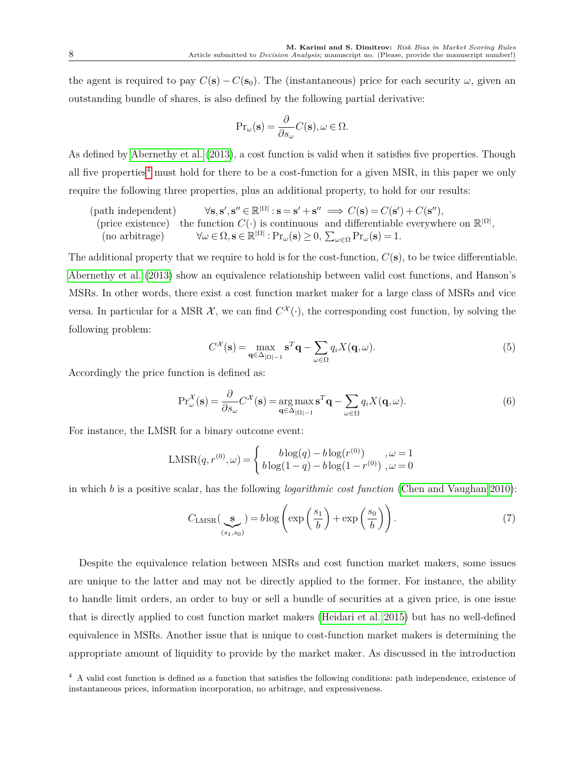the agent is required to pay  $C(\mathbf{s}) - C(\mathbf{s}_0)$ . The (instantaneous) price for each security  $\omega$ , given an outstanding bundle of shares, is also defined by the following partial derivative:

$$
\mathrm{Pr}_{\omega}(\mathbf{s}) = \frac{\partial}{\partial s_{\omega}} C(\mathbf{s}), \omega \in \Omega.
$$

As defined by [Abernethy et al.](#page-26-10) [\(2013\)](#page-26-10), a cost function is valid when it satisfies five properties. Though all five properties<sup>[4](#page-7-0)</sup> must hold for there to be a cost-function for a given MSR, in this paper we only require the following three properties, plus an additional property, to hold for our results:

 $(path$   $independent)$  $C(\mathbf{s}) = C(\mathbf{s}') + C(\mathbf{s}'')$ ,  $C(\mathbf{s}) = C(\mathbf{s}') + C(\mathbf{s}'')$ , (price existence) the function  $C(\cdot)$  is continuous and differentiable everywhere on  $\mathbb{R}^{|\Omega|}$ ,  $(\text{no arbitrage})$   $\forall \omega \in \Omega, \mathbf{s} \in \mathbb{R}^{|\Omega|} : \Pr_{\omega}(\mathbf{s}) \geq 0, \sum_{\omega \in \Omega} \Pr_{\omega}(\mathbf{s}) = 1.$ 

The additional property that we require to hold is for the cost-function,  $C(\mathbf{s})$ , to be twice differentiable. [Abernethy et al.](#page-26-10) [\(2013\)](#page-26-10) show an equivalence relationship between valid cost functions, and Hanson's MSRs. In other words, there exist a cost function market maker for a large class of MSRs and vice versa. In particular for a MSR  $\mathcal{X}$ , we can find  $C^{\mathcal{X}}(\cdot)$ , the corresponding cost function, by solving the following problem:

<span id="page-7-3"></span>
$$
C^{\mathcal{X}}(\mathbf{s}) = \max_{\mathbf{q} \in \Delta_{|\Omega| - 1}} \mathbf{s}^{T} \mathbf{q} - \sum_{\omega \in \Omega} q_{i} X(\mathbf{q}, \omega).
$$
 (5)

Accordingly the price function is defined as:

<span id="page-7-2"></span>
$$
\Pr_{\omega}^{\mathcal{X}}(\mathbf{s}) = \frac{\partial}{\partial s_{\omega}} C^{\mathcal{X}}(\mathbf{s}) = \underset{\mathbf{q} \in \Delta_{|\Omega|-1}}{\arg \max} \mathbf{s}^{T} \mathbf{q} - \sum_{\omega \in \Omega} q_{i} X(\mathbf{q}, \omega).
$$
 (6)

For instance, the LMSR for a binary outcome event:

$$
LMSR(q, r^{(0)}, \omega) = \begin{cases} \nb \log(q) - b \log(r^{(0)}) & , \omega = 1 \\ \nb \log(1 - q) - b \log(1 - r^{(0)}) & , \omega = 0 \end{cases}
$$

in which *b* is a positive scalar, has the following *logarithmic cost function* [\(Chen and Vaughan 2010\)](#page-27-14):

<span id="page-7-1"></span>
$$
C_{\text{LMSR}}\left(\underset{(s_1, s_0)}{\mathbf{s}}\right) = b \log \left( \exp\left(\frac{s_1}{b}\right) + \exp\left(\frac{s_0}{b}\right) \right). \tag{7}
$$

Despite the equivalence relation between MSRs and cost function market makers, some issues are unique to the latter and may not be directly applied to the former. For instance, the ability to handle limit orders, an order to buy or sell a bundle of securities at a given price, is one issue that is directly applied to cost function market makers [\(Heidari et al. 2015\)](#page-27-15) but has no well-defined equivalence in MSRs. Another issue that is unique to cost-function market makers is determining the appropriate amount of liquidity to provide by the market maker. As discussed in the introduction

<span id="page-7-0"></span><sup>4</sup> A valid cost function is defined as a function that satisfies the following conditions: path independence, existence of instantaneous prices, information incorporation, no arbitrage, and expressiveness.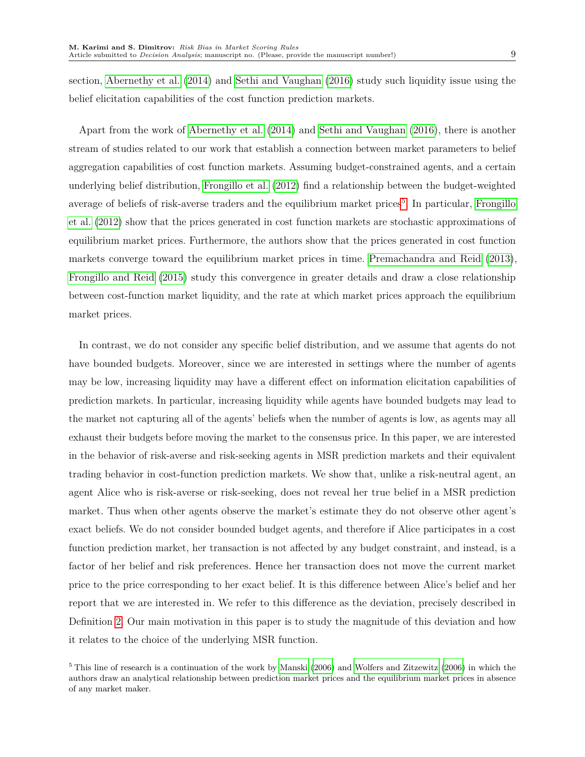section, [Abernethy et al.](#page-26-1) [\(2014\)](#page-26-1) and [Sethi and Vaughan](#page-29-1) [\(2016\)](#page-29-1) study such liquidity issue using the belief elicitation capabilities of the cost function prediction markets.

Apart from the work of [Abernethy et al.](#page-26-1) [\(2014\)](#page-26-1) and [Sethi and Vaughan](#page-29-1) [\(2016\)](#page-29-1), there is another stream of studies related to our work that establish a connection between market parameters to belief aggregation capabilities of cost function markets. Assuming budget-constrained agents, and a certain underlying belief distribution, [Frongillo et al.](#page-27-16) [\(2012\)](#page-27-16) find a relationship between the budget-weighted average of beliefs of risk-averse traders and the equilibrium market prices<sup>[5](#page-8-0)</sup>. In particular, [Frongillo](#page-27-16) [et al.](#page-27-16) [\(2012\)](#page-27-16) show that the prices generated in cost function markets are stochastic approximations of equilibrium market prices. Furthermore, the authors show that the prices generated in cost function markets converge toward the equilibrium market prices in time. [Premachandra and Reid](#page-28-13) [\(2013\)](#page-28-13), [Frongillo and Reid](#page-27-17) [\(2015\)](#page-27-17) study this convergence in greater details and draw a close relationship between cost-function market liquidity, and the rate at which market prices approach the equilibrium market prices.

In contrast, we do not consider any specific belief distribution, and we assume that agents do not have bounded budgets. Moreover, since we are interested in settings where the number of agents may be low, increasing liquidity may have a different effect on information elicitation capabilities of prediction markets. In particular, increasing liquidity while agents have bounded budgets may lead to the market not capturing all of the agents' beliefs when the number of agents is low, as agents may all exhaust their budgets before moving the market to the consensus price. In this paper, we are interested in the behavior of risk-averse and risk-seeking agents in MSR prediction markets and their equivalent trading behavior in cost-function prediction markets. We show that, unlike a risk-neutral agent, an agent Alice who is risk-averse or risk-seeking, does not reveal her true belief in a MSR prediction market. Thus when other agents observe the market's estimate they do not observe other agent's exact beliefs. We do not consider bounded budget agents, and therefore if Alice participates in a cost function prediction market, her transaction is not affected by any budget constraint, and instead, is a factor of her belief and risk preferences. Hence her transaction does not move the current market price to the price corresponding to her exact belief. It is this difference between Alice's belief and her report that we are interested in. We refer to this difference as the deviation, precisely described in Definition [2.](#page-12-0) Our main motivation in this paper is to study the magnitude of this deviation and how it relates to the choice of the underlying MSR function.

<span id="page-8-0"></span> $5$  This line of research is a continuation of the work by [Manski](#page-28-14) [\(2006\)](#page-29-7) and [Wolfers and Zitzewitz](#page-29-7) (2006) in which the authors draw an analytical relationship between prediction market prices and the equilibrium market prices in absence of any market maker.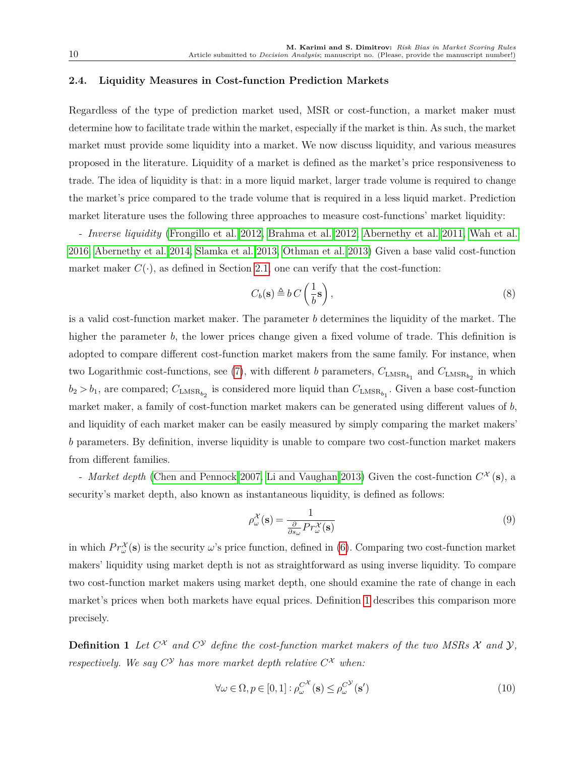#### **2.4. Liquidity Measures in Cost-function Prediction Markets**

Regardless of the type of prediction market used, MSR or cost-function, a market maker must determine how to facilitate trade within the market, especially if the market is thin. As such, the market market must provide some liquidity into a market. We now discuss liquidity, and various measures proposed in the literature. Liquidity of a market is defined as the market's price responsiveness to trade. The idea of liquidity is that: in a more liquid market, larger trade volume is required to change the market's price compared to the trade volume that is required in a less liquid market. Prediction market literature uses the following three approaches to measure cost-functions' market liquidity:

- *Inverse liquidity* [\(Frongillo et al. 2012,](#page-27-16) [Brahma et al. 2012,](#page-26-11) [Abernethy et al. 2011,](#page-26-12) [Wah et al.](#page-29-8) [2016,](#page-29-8) [Abernethy et al. 2014,](#page-26-1) [Slamka et al. 2013,](#page-29-9) [Othman et al. 2013\)](#page-28-15) Given a base valid cost-function market maker  $C(\cdot)$ , as defined in Section [2.1,](#page-4-0) one can verify that the cost-function:

<span id="page-9-1"></span>
$$
C_b(\mathbf{s}) \triangleq b \, C \left(\frac{1}{b} \mathbf{s}\right),\tag{8}
$$

is a valid cost-function market maker. The parameter *b* determines the liquidity of the market. The higher the parameter *b*, the lower prices change given a fixed volume of trade. This definition is adopted to compare different cost-function market makers from the same family. For instance, when two Logarithmic cost-functions, see [\(7\)](#page-7-1), with different *b* parameters,  $C_{\text{LMSR}_{b_1}}$  and  $C_{\text{LMSR}_{b_2}}$  in which  $b_2 > b_1$ , are compared;  $C_{\text{LMSR}_{b_2}}$  is considered more liquid than  $C_{\text{LMSR}_{b_1}}$ . Given a base cost-function market maker, a family of cost-function market makers can be generated using different values of *b*, and liquidity of each market maker can be easily measured by simply comparing the market makers' *b* parameters. By definition, inverse liquidity is unable to compare two cost-function market makers from different families.

- *Market depth* [\(Chen and Pennock 2007,](#page-27-7) [Li and Vaughan 2013\)](#page-28-16) Given the cost-function  $C^{\mathcal{X}}(\mathbf{s})$ , a security's market depth, also known as instantaneous liquidity, is defined as follows:

<span id="page-9-2"></span>
$$
\rho_{\omega}^{\mathcal{X}}(\mathbf{s}) = \frac{1}{\frac{\partial}{\partial s_{\omega}} Pr_{\omega}^{\mathcal{X}}(\mathbf{s})}
$$
(9)

in which  $Pr_{\omega}^{\mathcal{X}}(\mathbf{s})$  is the security  $\omega$ 's price function, defined in [\(6\)](#page-7-2). Comparing two cost-function market makers' liquidity using market depth is not as straightforward as using inverse liquidity. To compare two cost-function market makers using market depth, one should examine the rate of change in each market's prices when both markets have equal prices. Definition [1](#page-9-0) describes this comparison more precisely.

<span id="page-9-0"></span>**Definition 1** Let  $C^{\chi}$  and  $C^{\gamma}$  define the cost-function market makers of the two MSRs X and  $\mathcal{Y},$ *respectively.* We say  $C^{\mathcal{Y}}$  has more market depth relative  $C^{\mathcal{X}}$  when:

$$
\forall \omega \in \Omega, p \in [0, 1]: \rho_{\omega}^{C^{\mathcal{X}}}(\mathbf{s}) \leq \rho_{\omega}^{C^{\mathcal{Y}}}(\mathbf{s}')
$$
\n(10)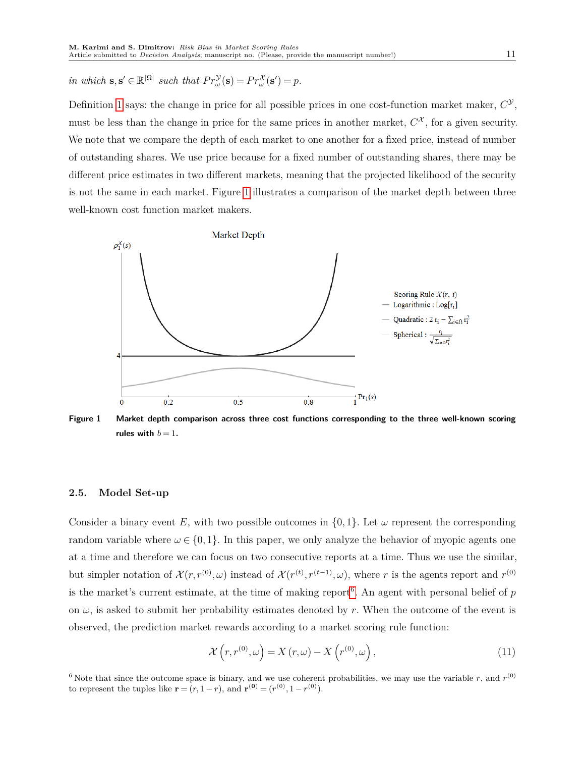*in which*  $\mathbf{s}, \mathbf{s}' \in \mathbb{R}^{|\Omega|}$  *such that*  $Pr_{\omega}^{\mathcal{Y}}(\mathbf{s}) = Pr_{\omega}^{\mathcal{X}}(\mathbf{s}') = p$ .

Definition [1](#page-9-0) says: the change in price for all possible prices in one cost-function market maker,  $C^{\mathcal{Y}}$ , must be less than the change in price for the same prices in another market,  $C^{\mathcal{X}}$ , for a given security. We note that we compare the depth of each market to one another for a fixed price, instead of number of outstanding shares. We use price because for a fixed number of outstanding shares, there may be different price estimates in two different markets, meaning that the projected likelihood of the security is not the same in each market. Figure [1](#page-10-1) illustrates a comparison of the market depth between three well-known cost function market makers.

<span id="page-10-1"></span>

**Figure 1 Market depth comparison across three cost functions corresponding to the three well-known scoring** rules with  $b = 1$ **.** 

#### <span id="page-10-0"></span>**2.5. Model Set-up**

Consider a binary event *E*, with two possible outcomes in  $\{0, 1\}$ . Let  $\omega$  represent the corresponding random variable where  $\omega \in \{0,1\}$ . In this paper, we only analyze the behavior of myopic agents one at a time and therefore we can focus on two consecutive reports at a time. Thus we use the similar, but simpler notation of  $\mathcal{X}(r,r^{(0)},\omega)$  instead of  $\mathcal{X}(r^{(t)},r^{(t-1)},\omega)$ , where r is the agents report and  $r^{(0)}$ is the market's current estimate, at the time of making report[6](#page-10-2) . An agent with personal belief of *p* on  $\omega$ , is asked to submit her probability estimates denoted by *r*. When the outcome of the event is observed, the prediction market rewards according to a market scoring rule function:

<span id="page-10-3"></span>
$$
\mathcal{X}\left(r, r^{(0)}, \omega\right) = X\left(r, \omega\right) - X\left(r^{(0)}, \omega\right),\tag{11}
$$

<span id="page-10-2"></span><sup>6</sup> Note that since the outcome space is binary, and we use coherent probabilities, we may use the variable  $r$ , and  $r^{(0)}$ to represent the tuples like  $\mathbf{r} = (r, 1 - r)$ , and  $\mathbf{r}^{(0)} = (r^{(0)}, 1 - r^{(0)})$ .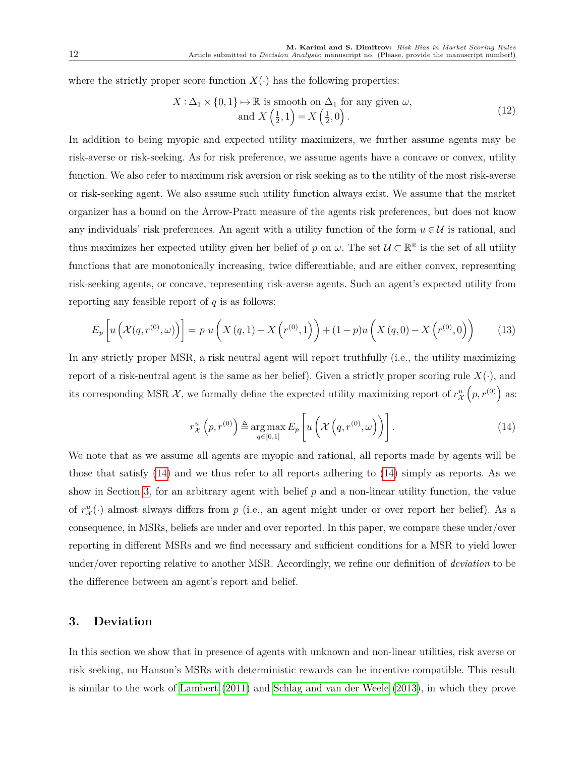where the strictly proper score function  $X(\cdot)$  has the following properties:

$$
X: \Delta_1 \times \{0, 1\} \mapsto \mathbb{R} \text{ is smooth on } \Delta_1 \text{ for any given } \omega,
$$
  
and 
$$
X\left(\frac{1}{2}, 1\right) = X\left(\frac{1}{2}, 0\right).
$$
 (12)

In addition to being myopic and expected utility maximizers, we further assume agents may be risk-averse or risk-seeking. As for risk preference, we assume agents have a concave or convex, utility function. We also refer to maximum risk aversion or risk seeking as to the utility of the most risk-averse or risk-seeking agent. We also assume such utility function always exist. We assume that the market organizer has a bound on the Arrow-Pratt measure of the agents risk preferences, but does not know any individuals' risk preferences. An agent with a utility function of the form  $u \in \mathcal{U}$  is rational, and thus maximizes her expected utility given her belief of *p* on  $\omega$ . The set  $\mathcal{U} \subset \mathbb{R}^{\mathbb{R}}$  is the set of all utility functions that are monotonically increasing, twice differentiable, and are either convex, representing risk-seeking agents, or concave, representing risk-averse agents. Such an agent's expected utility from reporting any feasible report of *q* is as follows:

$$
E_p\left[u\left(X(q,r^{(0)},\omega)\right)\right] = p\ u\left(X\left(q,1\right) - X\left(r^{(0)},1\right)\right) + (1-p)u\left(X\left(q,0\right) - X\left(r^{(0)},0\right)\right) \tag{13}
$$

In any strictly proper MSR, a risk neutral agent will report truthfully (i.e., the utility maximizing report of a risk-neutral agent is the same as her belief). Given a strictly proper scoring rule  $X(\cdot)$ , and its corresponding MSR  $\mathcal{X}$ , we formally define the expected utility maximizing report of  $r^u_{\mathcal{X}}(p,r^{(0)})$  as:

<span id="page-11-0"></span>
$$
r_{\mathcal{X}}^{u}\left(p,r^{(0)}\right) \triangleq \underset{q\in[0,1]}{\arg\max} E_{p}\left[u\left(\mathcal{X}\left(q,r^{(0)},\omega\right)\right)\right].
$$
 (14)

We note that as we assume all agents are myopic and rational, all reports made by agents will be those that satisfy [\(14\)](#page-11-0) and we thus refer to all reports adhering to [\(14\)](#page-11-0) simply as reports. As we show in Section [3,](#page-11-1) for an arbitrary agent with belief *p* and a non-linear utility function, the value of  $r^u_X(\cdot)$  almost always differs from p (i.e., an agent might under or over report her belief). As a consequence, in MSRs, beliefs are under and over reported. In this paper, we compare these under/over reporting in different MSRs and we find necessary and sufficient conditions for a MSR to yield lower under/over reporting relative to another MSR. Accordingly, we refine our definition of *deviation* to be the difference between an agent's report and belief.

## <span id="page-11-1"></span>**3. Deviation**

In this section we show that in presence of agents with unknown and non-linear utilities, risk averse or risk seeking, no Hanson's MSRs with deterministic rewards can be incentive compatible. This result is similar to the work of [Lambert](#page-28-5) [\(2011\)](#page-28-5) and [Schlag and van der Weele](#page-29-2) [\(2013\)](#page-29-2), in which they prove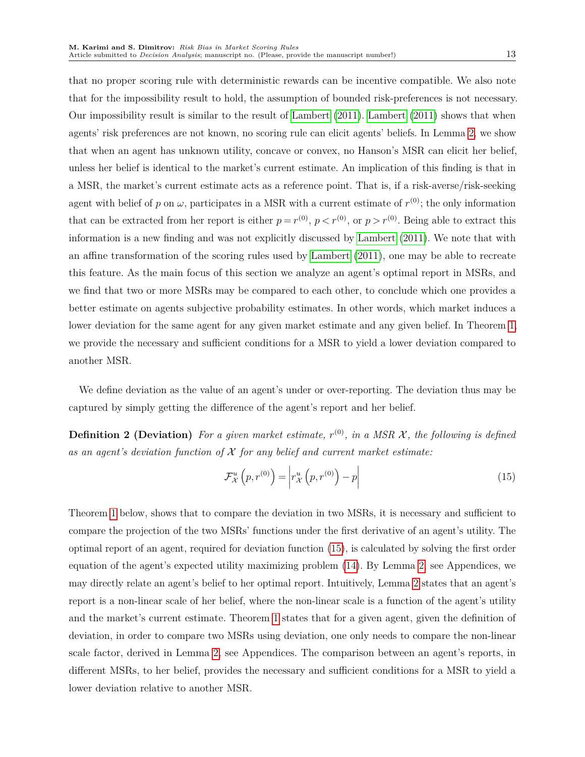that no proper scoring rule with deterministic rewards can be incentive compatible. We also note that for the impossibility result to hold, the assumption of bounded risk-preferences is not necessary. Our impossibility result is similar to the result of [Lambert](#page-28-5) [\(2011\)](#page-28-5). [Lambert](#page-28-5) [\(2011\)](#page-28-5) shows that when agents' risk preferences are not known, no scoring rule can elicit agents' beliefs. In Lemma [2,](#page-20-0) we show that when an agent has unknown utility, concave or convex, no Hanson's MSR can elicit her belief, unless her belief is identical to the market's current estimate. An implication of this finding is that in a MSR, the market's current estimate acts as a reference point. That is, if a risk-averse/risk-seeking agent with belief of  $p$  on  $\omega$ , participates in a MSR with a current estimate of  $r^{(0)}$ ; the only information that can be extracted from her report is either  $p = r^{(0)}$ ,  $p < r^{(0)}$ , or  $p > r^{(0)}$ . Being able to extract this information is a new finding and was not explicitly discussed by [Lambert](#page-28-5) [\(2011\)](#page-28-5). We note that with an affine transformation of the scoring rules used by [Lambert](#page-28-5) [\(2011\)](#page-28-5), one may be able to recreate this feature. As the main focus of this section we analyze an agent's optimal report in MSRs, and we find that two or more MSRs may be compared to each other, to conclude which one provides a better estimate on agents subjective probability estimates. In other words, which market induces a lower deviation for the same agent for any given market estimate and any given belief. In Theorem [1,](#page-12-1) we provide the necessary and sufficient conditions for a MSR to yield a lower deviation compared to another MSR.

We define deviation as the value of an agent's under or over-reporting. The deviation thus may be captured by simply getting the difference of the agent's report and her belief.

**Definition 2 (Deviation)** For a given market estimate,  $r^{(0)}$ , in a MSR X, the following is defined *as an agent's deviation function of* X *for any belief and current market estimate:*

<span id="page-12-2"></span><span id="page-12-1"></span><span id="page-12-0"></span>
$$
\mathcal{F}_{\mathcal{X}}^{u}\left(p, r^{(0)}\right) = \left| r_{\mathcal{X}}^{u}\left(p, r^{(0)}\right) - p \right| \tag{15}
$$

Theorem [1](#page-12-1) below, shows that to compare the deviation in two MSRs, it is necessary and sufficient to compare the projection of the two MSRs' functions under the first derivative of an agent's utility. The optimal report of an agent, required for deviation function [\(15\)](#page-12-2), is calculated by solving the first order equation of the agent's expected utility maximizing problem [\(14\)](#page-11-0). By Lemma [2,](#page-20-0) see Appendices, we may directly relate an agent's belief to her optimal report. Intuitively, Lemma [2](#page-20-0) states that an agent's report is a non-linear scale of her belief, where the non-linear scale is a function of the agent's utility and the market's current estimate. Theorem [1](#page-12-1) states that for a given agent, given the definition of deviation, in order to compare two MSRs using deviation, one only needs to compare the non-linear scale factor, derived in Lemma [2,](#page-20-0) see Appendices. The comparison between an agent's reports, in different MSRs, to her belief, provides the necessary and sufficient conditions for a MSR to yield a lower deviation relative to another MSR.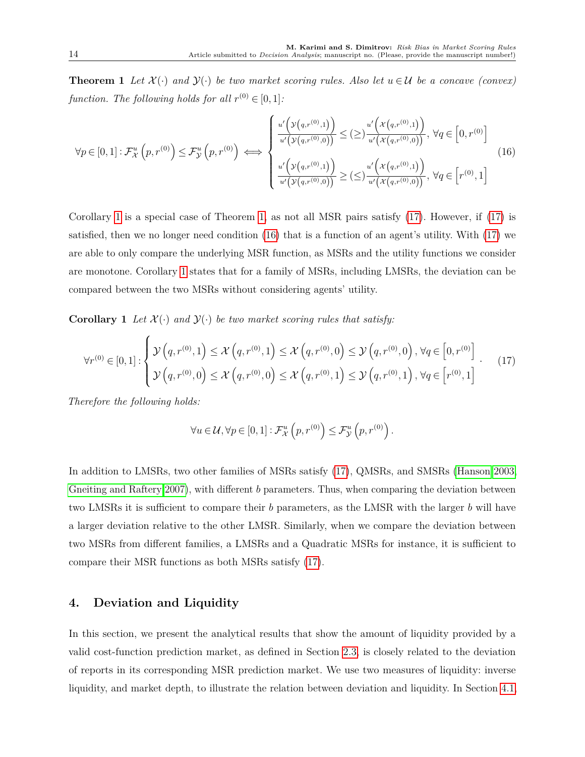**Theorem 1** Let  $\mathcal{X}(\cdot)$  and  $\mathcal{Y}(\cdot)$  be two market scoring rules. Also let  $u \in \mathcal{U}$  be a concave (convex) *function. The following holds for all*  $r^{(0)} \in [0, 1]$ :

<span id="page-13-2"></span>
$$
\forall p \in [0,1]: \mathcal{F}_{\mathcal{X}}^{u}\left(p,r^{(0)}\right) \leq \mathcal{F}_{\mathcal{Y}}^{u}\left(p,r^{(0)}\right) \iff \begin{cases} \frac{u'\left(\mathcal{Y}\left(q,r^{(0)},1\right)\right)}{u'\left(\mathcal{Y}\left(q,r^{(0)},0\right)\right)} \leq (\geq) \frac{u'\left(\mathcal{X}\left(q,r^{(0)},1\right)\right)}{u'\left(\mathcal{X}\left(q,r^{(0)},0\right)\right)}, \ \forall q \in \left[0,r^{(0)}\right] \\ \frac{u'\left(\mathcal{Y}\left(q,r^{(0)},1\right)\right)}{u'\left(\mathcal{Y}\left(q,r^{(0)},0\right)\right)} \geq (\leq) \frac{u'\left(\mathcal{X}\left(q,r^{(0)},1\right)\right)}{u'\left(\mathcal{X}\left(q,r^{(0)},0\right)\right)}, \ \forall q \in \left[r^{(0)},1\right] \end{cases} \tag{16}
$$

Corollary [1](#page-13-0) is a special case of Theorem [1,](#page-12-1) as not all MSR pairs satisfy [\(17\)](#page-13-1). However, if [\(17\)](#page-13-1) is satisfied, then we no longer need condition [\(16\)](#page-13-2) that is a function of an agent's utility. With [\(17\)](#page-13-1) we are able to only compare the underlying MSR function, as MSRs and the utility functions we consider are monotone. Corollary [1](#page-13-0) states that for a family of MSRs, including LMSRs, the deviation can be compared between the two MSRs without considering agents' utility.

**Corollary 1** *Let*  $\mathcal{X}(\cdot)$  *and*  $\mathcal{Y}(\cdot)$  *be two market scoring rules that satisfy:* 

<span id="page-13-1"></span>
$$
\forall r^{(0)} \in [0,1]: \begin{cases} \mathcal{Y}\left(q, r^{(0)}, 1\right) \leq \mathcal{X}\left(q, r^{(0)}, 1\right) \leq \mathcal{X}\left(q, r^{(0)}, 0\right) \leq \mathcal{Y}\left(q, r^{(0)}, 0\right), \forall q \in \left[0, r^{(0)}\right] \\ \mathcal{Y}\left(q, r^{(0)}, 0\right) \leq \mathcal{X}\left(q, r^{(0)}, 0\right) \leq \mathcal{X}\left(q, r^{(0)}, 1\right) \leq \mathcal{Y}\left(q, r^{(0)}, 1\right), \forall q \in \left[r^{(0)}, 1\right] \end{cases} (17)
$$

*Therefore the following holds:*

<span id="page-13-0"></span>
$$
\forall u \in \mathcal{U}, \forall p \in [0,1]: \mathcal{F}^u_{\mathcal{X}}\left(p, r^{(0)}\right) \leq \mathcal{F}^u_{\mathcal{Y}}\left(p, r^{(0)}\right).
$$

In addition to LMSRs, two other families of MSRs satisfy [\(17\)](#page-13-1), QMSRs, and SMSRs [\(Hanson 2003,](#page-27-12) [Gneiting and Raftery 2007\)](#page-27-11), with different *b* parameters. Thus, when comparing the deviation between two LMSRs it is sufficient to compare their *b* parameters, as the LMSR with the larger *b* will have a larger deviation relative to the other LMSR. Similarly, when we compare the deviation between two MSRs from different families, a LMSRs and a Quadratic MSRs for instance, it is sufficient to compare their MSR functions as both MSRs satisfy [\(17\)](#page-13-1).

## **4. Deviation and Liquidity**

In this section, we present the analytical results that show the amount of liquidity provided by a valid cost-function prediction market, as defined in Section [2.3,](#page-6-0) is closely related to the deviation of reports in its corresponding MSR prediction market. We use two measures of liquidity: inverse liquidity, and market depth, to illustrate the relation between deviation and liquidity. In Section [4.1,](#page-14-0)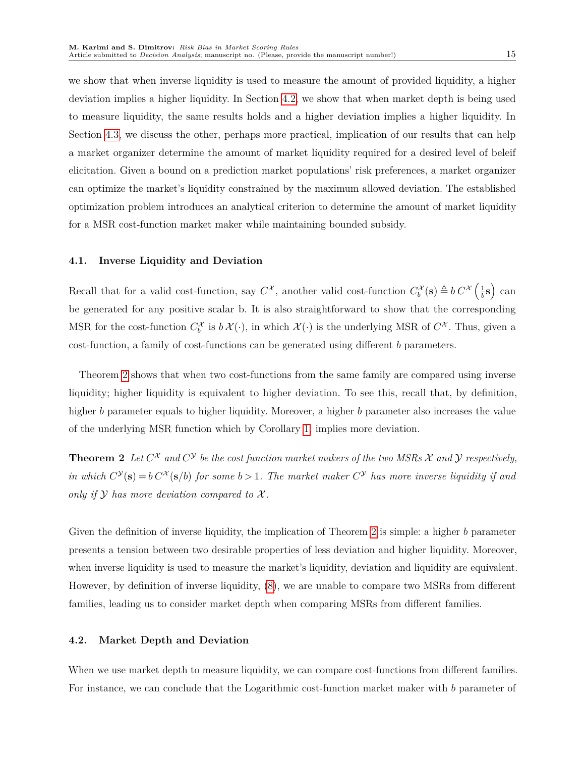we show that when inverse liquidity is used to measure the amount of provided liquidity, a higher deviation implies a higher liquidity. In Section [4.2,](#page-14-1) we show that when market depth is being used to measure liquidity, the same results holds and a higher deviation implies a higher liquidity. In Section [4.3,](#page-15-0) we discuss the other, perhaps more practical, implication of our results that can help a market organizer determine the amount of market liquidity required for a desired level of beleif elicitation. Given a bound on a prediction market populations' risk preferences, a market organizer can optimize the market's liquidity constrained by the maximum allowed deviation. The established optimization problem introduces an analytical criterion to determine the amount of market liquidity for a MSR cost-function market maker while maintaining bounded subsidy.

#### <span id="page-14-0"></span>**4.1. Inverse Liquidity and Deviation**

Recall that for a valid cost-function, say  $C^{\mathcal{X}}$ , another valid cost-function  $C_b^{\mathcal{X}}(\mathbf{s}) \triangleq b C^{\mathcal{X}}\left(\frac{1}{b}\right)$  $\frac{1}{b}$ **s**) can be generated for any positive scalar b. It is also straightforward to show that the corresponding MSR for the cost-function  $C_b^{\mathcal{X}}$  is  $b\mathcal{X}(\cdot)$ , in which  $\mathcal{X}(\cdot)$  is the underlying MSR of  $C^{\mathcal{X}}$ . Thus, given a cost-function, a family of cost-functions can be generated using different *b* parameters.

Theorem [2](#page-14-2) shows that when two cost-functions from the same family are compared using inverse liquidity; higher liquidity is equivalent to higher deviation. To see this, recall that, by definition, higher *b* parameter equals to higher liquidity. Moreover, a higher *b* parameter also increases the value of the underlying MSR function which by Corollary [1,](#page-13-0) implies more deviation.

<span id="page-14-2"></span>**Theorem 2** Let  $C^{\chi}$  and  $C^{\gamma}$  be the cost function market makers of the two MSRs  $\chi$  and  $\gamma$  respectively, *in which*  $C^{\mathcal{Y}}(\mathbf{s}) = b C^{\mathcal{X}}(\mathbf{s}/b)$  *for some*  $b > 1$ *. The market maker*  $C^{\mathcal{Y}}$  *has more inverse liquidity if and only if*  $Y$  *has more deviation compared to*  $X$ *.* 

Given the definition of inverse liquidity, the implication of Theorem [2](#page-14-2) is simple: a higher *b* parameter presents a tension between two desirable properties of less deviation and higher liquidity. Moreover, when inverse liquidity is used to measure the market's liquidity, deviation and liquidity are equivalent. However, by definition of inverse liquidity, [\(8\)](#page-9-1), we are unable to compare two MSRs from different families, leading us to consider market depth when comparing MSRs from different families.

#### <span id="page-14-1"></span>**4.2. Market Depth and Deviation**

When we use market depth to measure liquidity, we can compare cost-functions from different families. For instance, we can conclude that the Logarithmic cost-function market maker with *b* parameter of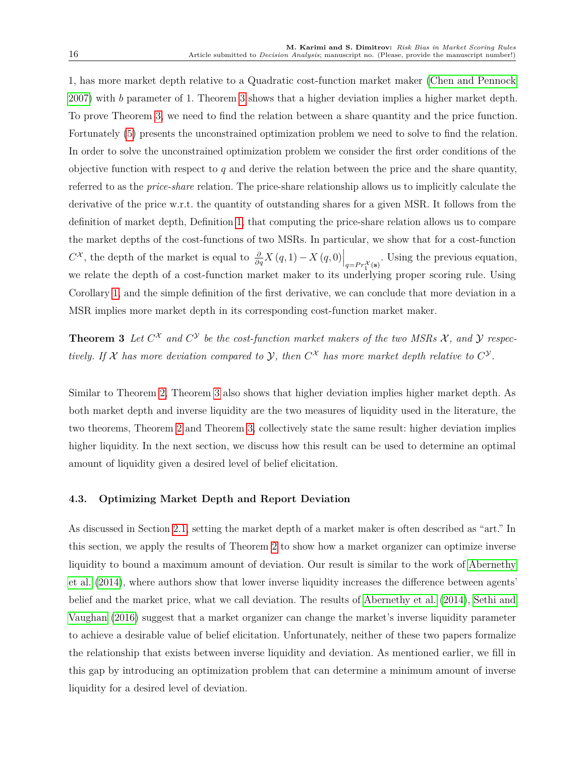1, has more market depth relative to a Quadratic cost-function market maker [\(Chen and Pennock](#page-27-7) [2007\)](#page-27-7) with *b* parameter of 1. Theorem [3](#page-15-1) shows that a higher deviation implies a higher market depth. To prove Theorem [3,](#page-15-1) we need to find the relation between a share quantity and the price function. Fortunately [\(5\)](#page-7-3) presents the unconstrained optimization problem we need to solve to find the relation. In order to solve the unconstrained optimization problem we consider the first order conditions of the objective function with respect to *q* and derive the relation between the price and the share quantity, referred to as the *price-share* relation. The price-share relationship allows us to implicitly calculate the derivative of the price w.r.t. the quantity of outstanding shares for a given MSR. It follows from the definition of market depth, Definition [1,](#page-9-0) that computing the price-share relation allows us to compare the market depths of the cost-functions of two MSRs. In particular, we show that for a cost-function  $C^{\mathcal{X}}$ , the depth of the market is equal to  $\frac{\partial}{\partial q}X(q,1) - X(q,0)\Big|_{q = Pr_1^{\mathcal{X}}(\mathbf{s})}$ . Using the previous equation, we relate the depth of a cost-function market maker to its underlying proper scoring rule. Using Corollary [1,](#page-13-0) and the simple definition of the first derivative, we can conclude that more deviation in a MSR implies more market depth in its corresponding cost-function market maker.

<span id="page-15-1"></span>**Theorem 3** Let  $C^X$  and  $C^Y$  be the cost-function market makers of the two MSRs  $X$ , and  $Y$  respec*tively.* If X has more deviation compared to Y, then  $C^X$  has more market depth relative to  $C^Y$ .

Similar to Theorem [2,](#page-14-2) Theorem [3](#page-15-1) also shows that higher deviation implies higher market depth. As both market depth and inverse liquidity are the two measures of liquidity used in the literature, the two theorems, Theorem [2](#page-14-2) and Theorem [3,](#page-15-1) collectively state the same result: higher deviation implies higher liquidity. In the next section, we discuss how this result can be used to determine an optimal amount of liquidity given a desired level of belief elicitation.

### <span id="page-15-0"></span>**4.3. Optimizing Market Depth and Report Deviation**

As discussed in Section [2.1,](#page-4-0) setting the market depth of a market maker is often described as "art." In this section, we apply the results of Theorem [2](#page-14-2) to show how a market organizer can optimize inverse liquidity to bound a maximum amount of deviation. Our result is similar to the work of [Abernethy](#page-26-1) [et al.](#page-26-1) [\(2014\)](#page-26-1), where authors show that lower inverse liquidity increases the difference between agents' belief and the market price, what we call deviation. The results of [Abernethy et al.](#page-26-1) [\(2014\)](#page-26-1), [Sethi and](#page-29-1) [Vaughan](#page-29-1) [\(2016\)](#page-29-1) suggest that a market organizer can change the market's inverse liquidity parameter to achieve a desirable value of belief elicitation. Unfortunately, neither of these two papers formalize the relationship that exists between inverse liquidity and deviation. As mentioned earlier, we fill in this gap by introducing an optimization problem that can determine a minimum amount of inverse liquidity for a desired level of deviation.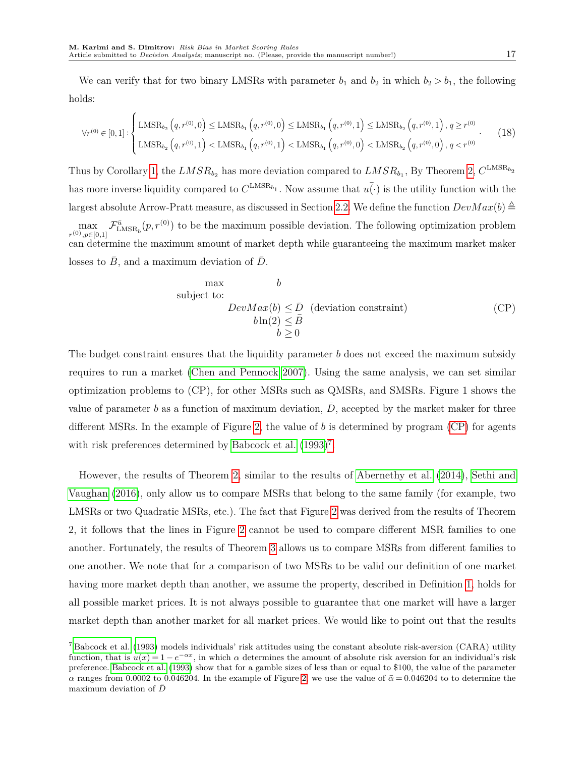We can verify that for two binary LMSRs with parameter  $b_1$  and  $b_2$  in which  $b_2 > b_1$ , the following holds:

$$
\forall r^{(0)} \in [0,1]: \begin{cases} \text{LMSR}_{b_2}\left(q, r^{(0)}, 0\right) \leq \text{LMSR}_{b_1}\left(q, r^{(0)}, 0\right) \leq \text{LMSR}_{b_1}\left(q, r^{(0)}, 1\right) \leq \text{LMSR}_{b_2}\left(q, r^{(0)}, 1\right), q \geq r^{(0)} \\ \text{LMSR}_{b_2}\left(q, r^{(0)}, 1\right) < \text{LMSR}_{b_1}\left(q, r^{(0)}, 1\right) < \text{LMSR}_{b_1}\left(q, r^{(0)}, 0\right) < \text{LMSR}_{b_2}\left(q, r^{(0)}, 0\right), q < r^{(0)} \end{cases} \tag{18}
$$

Thus by Corollary [1,](#page-13-0) the  $LMSR_{b_2}$  has more deviation compared to  $LMSR_{b_1}$ , By Theorem [2,](#page-14-2)  $C^{LMSR_{b_2}}$ has more inverse liquidity compared to  $C^{\text{LMSR}_{b_1}}$ . Now assume that  $\bar{u(\cdot)}$  is the utility function with the largest absolute Arrow-Pratt measure, as discussed in Section [2.2.](#page-6-1) We define the function  $DevMax(b) \triangleq$  $\max_{r^{(0)}, p \in [0,1]} \mathcal{F}_{\text{LMSR}_b}^{\bar{u}}(p, r^{(0)})$  to be the maximum possible deviation. The following optimization problem can determine the maximum amount of market depth while guaranteeing the maximum market maker losses to  $B$ , and a maximum deviation of  $D$ .

<span id="page-16-0"></span>max  
\nsubject to:  
\n
$$
DevMax(b) \leq \bar{D} \quad \text{(deviation constraint)}
$$
\n
$$
b \ln(2) \leq \bar{B}
$$
\n
$$
b \geq 0
$$
\n(CP)

The budget constraint ensures that the liquidity parameter *b* does not exceed the maximum subsidy requires to run a market [\(Chen and Pennock 2007\)](#page-27-7). Using the same analysis, we can set similar optimization problems to (CP), for other MSRs such as QMSRs, and SMSRs. Figure 1 shows the value of parameter  $b$  as a function of maximum deviation,  $D$ , accepted by the market maker for three different MSRs. In the example of Figure [2,](#page-17-0) the value of *b* is determined by program [\(CP\)](#page-16-0) for agents with risk preferences determined by [Babcock et al.](#page-26-3)  $(1993)^7$  $(1993)^7$  $(1993)^7$ .

However, the results of Theorem [2,](#page-14-2) similar to the results of [Abernethy et al.](#page-26-1) [\(2014\)](#page-26-1), [Sethi and](#page-29-1) [Vaughan](#page-29-1) [\(2016\)](#page-29-1), only allow us to compare MSRs that belong to the same family (for example, two LMSRs or two Quadratic MSRs, etc.). The fact that Figure [2](#page-17-0) was derived from the results of Theorem 2, it follows that the lines in Figure [2](#page-17-0) cannot be used to compare different MSR families to one another. Fortunately, the results of Theorem [3](#page-15-1) allows us to compare MSRs from different families to one another. We note that for a comparison of two MSRs to be valid our definition of one market having more market depth than another, we assume the property, described in Definition [1,](#page-9-0) holds for all possible market prices. It is not always possible to guarantee that one market will have a larger market depth than another market for all market prices. We would like to point out that the results

<span id="page-16-1"></span> $^7$  [Babcock et al.](#page-26-3) [\(1993\)](#page-26-3) models individuals' risk attitudes using the constant absolute risk-aversion (CARA) utility function, that is  $u(x) = 1 - e^{-\alpha x}$ , in which  $\alpha$  determines the amount of absolute risk aversion for an individual's risk preference. [Babcock et al.](#page-26-3) [\(1993\)](#page-26-3) show that for a gamble sizes of less than or equal to \$100, the value of the parameter *α* ranges from 0.0002 to 0.046204. In the example of Figure [2,](#page-17-0) we use the value of  $\bar{\alpha} = 0.046204$  to to determine the maximum deviation of *D*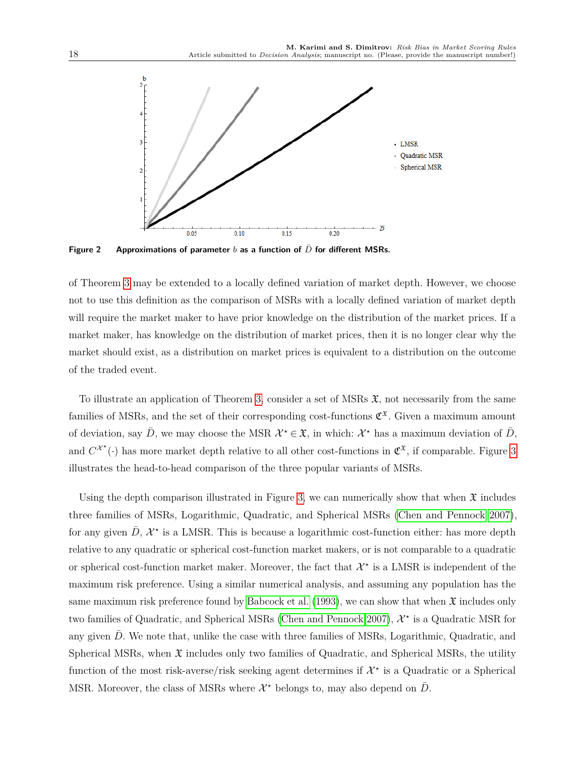<span id="page-17-0"></span>

**Figure 2** Approximations of parameter *b* as a function of  $\overline{D}$  for different MSRs.

of Theorem [3](#page-15-1) may be extended to a locally defined variation of market depth. However, we choose not to use this definition as the comparison of MSRs with a locally defined variation of market depth will require the market maker to have prior knowledge on the distribution of the market prices. If a market maker, has knowledge on the distribution of market prices, then it is no longer clear why the market should exist, as a distribution on market prices is equivalent to a distribution on the outcome of the traded event.

To illustrate an application of Theorem [3,](#page-15-1) consider a set of MSRs  $\mathfrak{X}$ , not necessarily from the same families of MSRs, and the set of their corresponding cost-functions  $\mathfrak{C}^{\mathfrak{X}}$ . Given a maximum amount of deviation, say  $\bar{D}$ , we may choose the MSR  $\mathcal{X}^* \in \mathfrak{X}$ , in which:  $\mathcal{X}^*$  has a maximum deviation of  $\bar{D}$ , and  $C^{\chi^*}(\cdot)$  has more market depth relative to all other cost-functions in  $\mathfrak{C}^{\mathfrak{X}}$ , if comparable. Figure [3](#page-18-0) illustrates the head-to-head comparison of the three popular variants of MSRs.

Using the depth comparison illustrated in Figure [3,](#page-18-0) we can numerically show that when  $\mathfrak X$  includes three families of MSRs, Logarithmic, Quadratic, and Spherical MSRs [\(Chen and Pennock 2007\)](#page-27-7), for any given  $\bar{D}$ ,  $\mathcal{X}^*$  is a LMSR. This is because a logarithmic cost-function either: has more depth relative to any quadratic or spherical cost-function market makers, or is not comparable to a quadratic or spherical cost-function market maker. Moreover, the fact that  $\mathcal{X}^*$  is a LMSR is independent of the maximum risk preference. Using a similar numerical analysis, and assuming any population has the same maximum risk preference found by [Babcock et al.](#page-26-3) [\(1993\)](#page-26-3), we can show that when  $\mathfrak{X}$  includes only two families of Quadratic, and Spherical MSRs [\(Chen and Pennock 2007\)](#page-27-7),  $\mathcal{X}^{\star}$  is a Quadratic MSR for any given D. We note that, unlike the case with three families of MSRs, Logarithmic, Quadratic, and Spherical MSRs, when  $\mathfrak X$  includes only two families of Quadratic, and Spherical MSRs, the utility function of the most risk-averse/risk seeking agent determines if  $\mathcal{X}^*$  is a Quadratic or a Spherical MSR. Moreover, the class of MSRs where  $\mathcal{X}^*$  belongs to, may also depend on  $\bar{D}$ .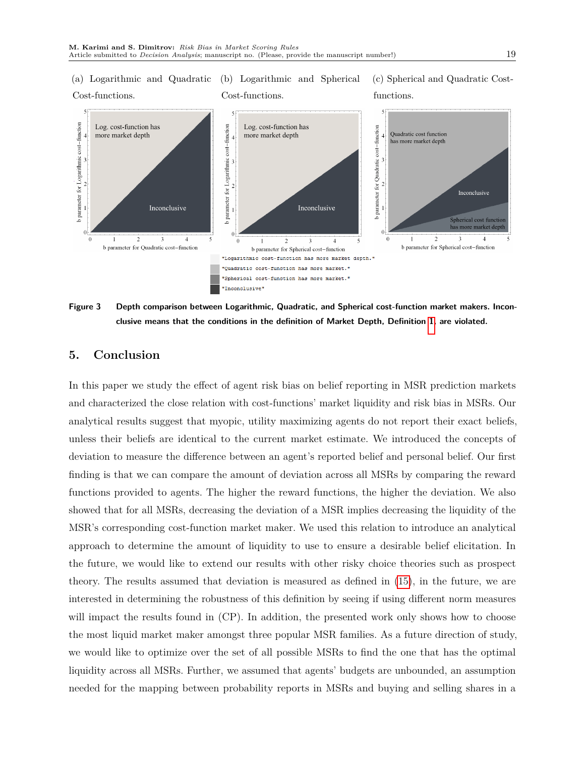<span id="page-18-0"></span>(a) Logarithmic and Quadratic (b) Logarithmic and Spherical Cost-functions. Cost-functions. (c) Spherical and Quadratic Costfunctions.



**Figure 3 Depth comparison between Logarithmic, Quadratic, and Spherical cost-function market makers. Inconclusive means that the conditions in the definition of Market Depth, Definition [1,](#page-9-0) are violated.**

## **5. Conclusion**

In this paper we study the effect of agent risk bias on belief reporting in MSR prediction markets and characterized the close relation with cost-functions' market liquidity and risk bias in MSRs. Our analytical results suggest that myopic, utility maximizing agents do not report their exact beliefs, unless their beliefs are identical to the current market estimate. We introduced the concepts of deviation to measure the difference between an agent's reported belief and personal belief. Our first finding is that we can compare the amount of deviation across all MSRs by comparing the reward functions provided to agents. The higher the reward functions, the higher the deviation. We also showed that for all MSRs, decreasing the deviation of a MSR implies decreasing the liquidity of the MSR's corresponding cost-function market maker. We used this relation to introduce an analytical approach to determine the amount of liquidity to use to ensure a desirable belief elicitation. In the future, we would like to extend our results with other risky choice theories such as prospect theory. The results assumed that deviation is measured as defined in [\(15\)](#page-12-2), in the future, we are interested in determining the robustness of this definition by seeing if using different norm measures will impact the results found in (CP). In addition, the presented work only shows how to choose the most liquid market maker amongst three popular MSR families. As a future direction of study, we would like to optimize over the set of all possible MSRs to find the one that has the optimal liquidity across all MSRs. Further, we assumed that agents' budgets are unbounded, an assumption needed for the mapping between probability reports in MSRs and buying and selling shares in a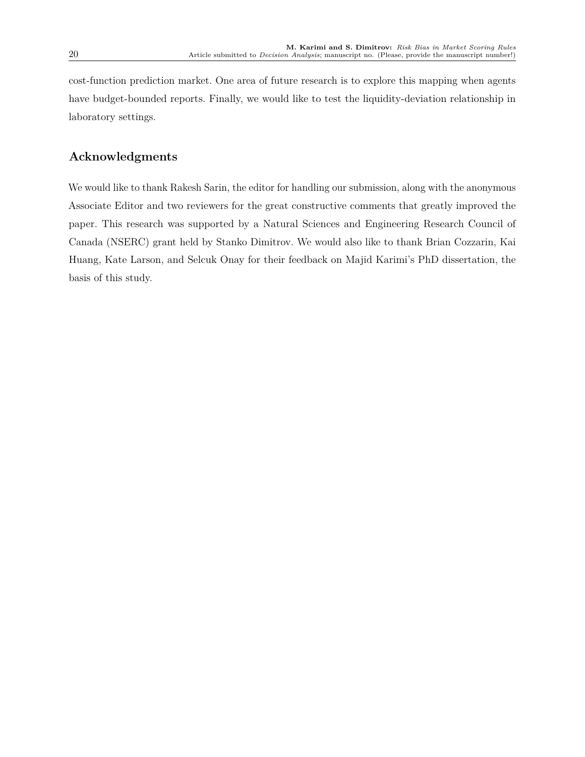cost-function prediction market. One area of future research is to explore this mapping when agents have budget-bounded reports. Finally, we would like to test the liquidity-deviation relationship in laboratory settings.

## **Acknowledgments**

We would like to thank Rakesh Sarin, the editor for handling our submission, along with the anonymous Associate Editor and two reviewers for the great constructive comments that greatly improved the paper. This research was supported by a Natural Sciences and Engineering Research Council of Canada (NSERC) grant held by Stanko Dimitrov. We would also like to thank Brian Cozzarin, Kai Huang, Kate Larson, and Selcuk Onay for their feedback on Majid Karimi's PhD dissertation, the basis of this study.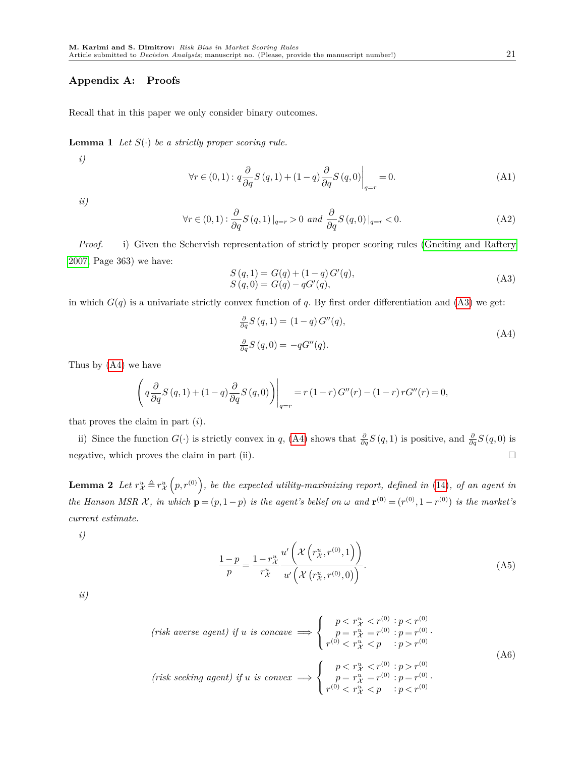#### **Appendix A: Proofs**

Recall that in this paper we only consider binary outcomes.

**Lemma 1** *Let S*(·) *be a strictly proper scoring rule.*

*i)*

<span id="page-20-3"></span>
$$
\forall r \in (0,1): q \frac{\partial}{\partial q} S(q,1) + (1-q) \frac{\partial}{\partial q} S(q,0) \Big|_{q=r} = 0.
$$
 (A1)

*ii)*

$$
\forall r \in (0,1): \frac{\partial}{\partial q} S(q,1)|_{q=r} > 0 \text{ and } \frac{\partial}{\partial q} S(q,0)|_{q=r} < 0.
$$
 (A2)

*Proof.* i) Given the Schervish representation of strictly proper scoring rules [\(Gneiting and Raftery](#page-27-11) [2007,](#page-27-11) Page 363) we have:

<span id="page-20-1"></span>
$$
S(q, 1) = G(q) + (1 - q)G'(q),
$$
  
\n
$$
S(q, 0) = G(q) - qG'(q),
$$
\n(A3)

in which  $G(q)$  is a univariate strictly convex function of q. By first order differentiation and [\(A3\)](#page-20-1) we get:

<span id="page-20-2"></span>
$$
\frac{\partial}{\partial q} S(q, 1) = (1 - q) G''(q),
$$
  

$$
\frac{\partial}{\partial q} S(q, 0) = -q G''(q).
$$
 (A4)

Thus by [\(A4\)](#page-20-2) we have

$$
\left(q\frac{\partial}{\partial q}S(q,1) + (1-q)\frac{\partial}{\partial q}S(q,0)\right)\Big|_{q=r} = r(1-r)G''(r) - (1-r)rG''(r) = 0,
$$

that proves the claim in part (*i*).

ii) Since the function  $G(\cdot)$  is strictly convex in *q*, [\(A4\)](#page-20-2) shows that  $\frac{\partial}{\partial q}S(q,1)$  is positive, and  $\frac{\partial}{\partial q}S(q,0)$  is negative, which proves the claim in part (ii).  $\Box$ 

<span id="page-20-0"></span>**Lemma 2** Let  $r^u_\mathcal{X} \triangleq r^u_\mathcal{X}\left(p, r^{(0)}\right)$ , be the expected utility-maximizing report, defined in [\(14\)](#page-11-0), of an agent in *the Hanson MSR X, in which*  $\mathbf{p} = (p, 1-p)$  *is the agent's belief on*  $\omega$  *and*  $\mathbf{r}^{(0)} = (r^{(0)}, 1-r^{(0)})$  *is the market's current estimate.*

*i)*

<span id="page-20-4"></span>
$$
\frac{1-p}{p} = \frac{1-r_X^u}{r_X^u} \frac{u'\left(\mathcal{X}\left(r_X^u, r^{(0)}, 1\right)\right)}{u'\left(\mathcal{X}\left(r_X^u, r^{(0)}, 0\right)\right)}.\tag{A5}
$$

*ii)*

$$
\begin{aligned}\n\text{(risk averse agent)} if u is concave } &\Longrightarrow \left\{ \begin{array}{l} p < r_{\mathcal{X}}^u < r^{(0)} : p < r^{(0)} \\ p &= r_{\mathcal{X}}^u = r^{(0)} : p = r^{(0)} \\ r^{(0)} < r_{\mathcal{X}}^u < p & : p > r^{(0)} \end{array} \right. \\
\text{(risk seeking agent)} if u is convex } &\Longrightarrow \left\{ \begin{array}{l} p < r_{\mathcal{X}}^u < r^{(0)} : p > r^{(0)} \\ p &= r_{\mathcal{X}}^u = r^{(0)} : p > r^{(0)} \\ p < r_{\mathcal{X}}^u < p & : p < r^{(0)} \end{array} \right. \\
\text{(A6)}\n\end{aligned}
$$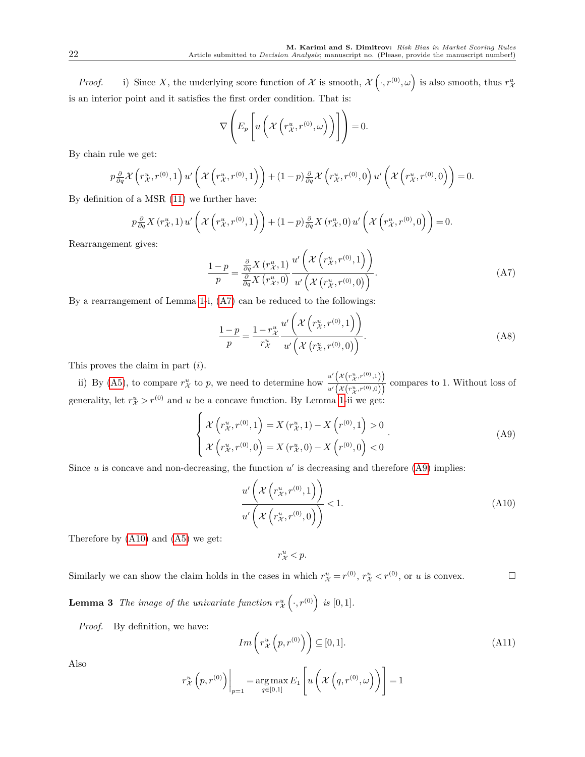*Proof.* i) Since X, the underlying score function of X is smooth,  $\mathcal{X}(\cdot, r^{(0)}, \omega)$  is also smooth, thus  $r_{\mathcal{X}}^u$ is an interior point and it satisfies the first order condition. That is:

$$
\nabla \left( E_p \left[ u \left( \mathcal{X} \left( r_{\mathcal{X}}^u, r^{(0)}, \omega \right) \right) \right] \right) = 0.
$$

By chain rule we get:

$$
p\frac{\partial}{\partial q}\mathcal{X}\left(r_{\mathcal{X}}^{u},r^{(0)},1\right)u'\left(\mathcal{X}\left(r_{\mathcal{X}}^{u},r^{(0)},1\right)\right)+(1-p)\frac{\partial}{\partial q}\mathcal{X}\left(r_{\mathcal{X}}^{u},r^{(0)},0\right)u'\left(\mathcal{X}\left(r_{\mathcal{X}}^{u},r^{(0)},0\right)\right)=0.
$$

By definition of a MSR [\(11\)](#page-10-3) we further have:

$$
p\frac{\partial}{\partial q}X(r_{\mathcal{X}}^{u},1) u'\left(\mathcal{X}\left(r_{\mathcal{X}}^{u},r^{(0)},1\right)\right)+(1-p)\frac{\partial}{\partial q}X(r_{\mathcal{X}}^{u},0) u'\left(\mathcal{X}\left(r_{\mathcal{X}}^{u},r^{(0)},0\right)\right)=0.
$$

Rearrangement gives:

<span id="page-21-0"></span>
$$
\frac{1-p}{p} = \frac{\frac{\partial}{\partial q} X(r_{\mathcal{X}}^u, 1)}{\frac{\partial}{\partial q} X(r_{\mathcal{X}}^u, 0)} \frac{u' \left( \mathcal{X}\left(r_{\mathcal{X}}^u, r^{(0)}, 1\right) \right)}{u' \left( \mathcal{X}\left(r_{\mathcal{X}}^u, r^{(0)}, 0\right) \right)}.
$$
\n(A7)

By a rearrangement of Lemma [1-](#page-20-3)i, [\(A7\)](#page-21-0) can be reduced to the followings:

$$
\frac{1-p}{p} = \frac{1 - r_{\mathcal{X}}^{u}}{r_{\mathcal{X}}^{u}} \frac{u' \left( \mathcal{X} \left( r_{\mathcal{X}}^{u}, r^{(0)}, 1 \right) \right)}{u' \left( \mathcal{X} \left( r_{\mathcal{X}}^{u}, r^{(0)}, 0 \right) \right)}.
$$
\n(A8)

This proves the claim in part (*i*).

ii) By [\(A5\)](#page-20-4), to compare  $r_{\mathcal{X}}^u$  to p, we need to determine how  $\frac{u'\left(\mathcal{X}\left(r_{\mathcal{X}}^u,r^{(0)},1\right)\right)}{u'\left(\mathcal{X}\left(x^u\right),u\right)}$  $\frac{u(x(x, y, 0), y)}{u'(x(x, y, 0), y)}$  compares to 1. Without loss of generality, let  $r_{\mathcal{X}}^u > r^{(0)}$  and *u* be a concave function. By Lemma [1-](#page-20-3)ii we get:

<span id="page-21-1"></span>
$$
\begin{cases}\n\mathcal{X}\left(r_{\mathcal{X}}^{u}, r^{(0)}, 1\right) = X\left(r_{\mathcal{X}}^{u}, 1\right) - X\left(r^{(0)}, 1\right) > 0 \\
\mathcal{X}\left(r_{\mathcal{X}}^{u}, r^{(0)}, 0\right) = X\left(r_{\mathcal{X}}^{u}, 0\right) - X\left(r^{(0)}, 0\right) < 0\n\end{cases} \tag{A9}
$$

Since  $u$  is concave and non-decreasing, the function  $u'$  is decreasing and therefore  $(A9)$  implies:

<span id="page-21-2"></span>
$$
\frac{u'\left(\mathcal{X}\left(r_{\mathcal{X}}^{u}, r^{(0)}, 1\right)\right)}{u'\left(\mathcal{X}\left(r_{\mathcal{X}}^{u}, r^{(0)}, 0\right)\right)} < 1. \tag{A10}
$$

Therefore by [\(A10\)](#page-21-2) and [\(A5\)](#page-20-4) we get:

 $r^u_{\mathcal{X}} < p$ .

<span id="page-21-4"></span>Similarly we can show the claim holds in the cases in which  $r^u_{\mathcal{X}} = r^{(0)}$ ,  $r^u_{\mathcal{X}} < r^{(0)}$ , or *u* is convex.

**Lemma 3** *The image of the univariate function*  $r_{\mathcal{X}}^u$   $(\cdot, r^{(0)})$  *is* [0,1]*.* 

*Proof.* By definition, we have:

<span id="page-21-3"></span>
$$
Im\left(r_{\mathcal{X}}^{u}\left(p,r^{(0)}\right)\right) \subseteq [0,1].\tag{A11}
$$

Also

$$
r_{\mathcal{X}}^{u}\left(p,r^{(0)}\right)\bigg|_{p=1} = \underset{q\in[0,1]}{\arg\max} E_{1}\left[u\left(\mathcal{X}\left(q,r^{(0)},\omega\right)\right)\right] = 1
$$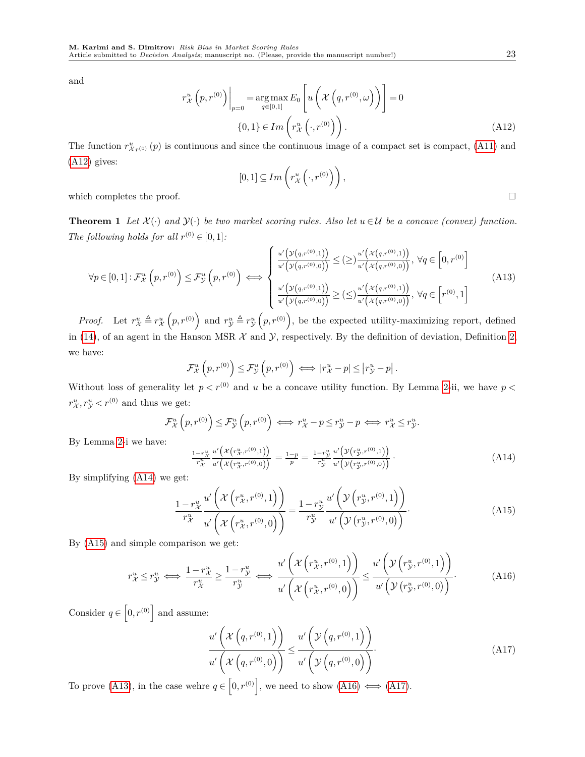and

<span id="page-22-0"></span>
$$
r_{\mathcal{X}}^{u}\left(p,r^{(0)}\right)\Big|_{p=0} = \underset{q\in[0,1]}{\arg\max} E_{0}\left[u\left(\mathcal{X}\left(q,r^{(0)},\omega\right)\right)\right] = 0
$$

$$
\{0,1\} \in Im\left(r_{\mathcal{X}}^{u}\left(\cdot,r^{(0)}\right)\right).
$$
(A12)

The function  $r^u_{\mathcal{X}_r^{(0)}}(p)$  is continuous and since the continuous image of a compact set is compact, [\(A11\)](#page-21-3) and [\(A12\)](#page-22-0) gives:

$$
[0,1]\subseteq Im\left(r_{\mathcal{X}}^{u}\left(\cdot,r^{(0)}\right)\right),
$$
 which completes the proof.

**Theorem 1** *Let*  $\mathcal{X}(\cdot)$  *and*  $\mathcal{Y}(\cdot)$  *be two market scoring rules. Also let*  $u \in \mathcal{U}$  *be a concave (convex) function. The following holds for all*  $r^{(0)} \in [0,1]$ :

<span id="page-22-3"></span>
$$
\forall p \in [0,1]: \mathcal{F}_{\mathcal{X}}^{u}\left(p,r^{(0)}\right) \leq \mathcal{F}_{\mathcal{Y}}^{u}\left(p,r^{(0)}\right) \iff \begin{cases} \frac{u'\left(\mathcal{Y}(q,r^{(0)},1)\right)}{u'\left(\mathcal{Y}(q,r^{(0)},0)\right)} \leq (\geq) \frac{u'\left(\mathcal{X}(q,r^{(0)},1)\right)}{u'\left(\mathcal{X}(q,r^{(0)},0)\right)}, \ \forall q \in \left[0,r^{(0)}\right] \\ \frac{u'\left(\mathcal{Y}(q,r^{(0)},1)\right)}{u'\left(\mathcal{Y}(q,r^{(0)},0)\right)} \geq (\leq) \frac{u'\left(\mathcal{X}(q,r^{(0)},1)\right)}{u'\left(\mathcal{X}(q,r^{(0)},0)\right)}, \ \forall q \in \left[r^{(0)},1\right] \end{cases} \tag{A13}
$$

*Proof.* Let  $r_{\mathcal{X}}^u \triangleq r_{\mathcal{X}}^u(p,r^{(0)})$  and  $r_{\mathcal{Y}}^u \triangleq r_{\mathcal{Y}}^u(p,r^{(0)})$ , be the expected utility-maximizing report, defined in [\(14\)](#page-11-0), of an agent in the Hanson MSR  $\mathcal X$  and  $\mathcal Y$ , respectively. By the definition of deviation, Definition [2,](#page-12-0) we have:

$$
\mathcal{F}_{\mathcal{X}}^{u}\left(p,r^{(0)}\right) \leq \mathcal{F}_{\mathcal{Y}}^{u}\left(p,r^{(0)}\right) \iff \left|r_{\mathcal{X}}^{u}-p\right| \leq \left|r_{\mathcal{Y}}^{u}-p\right|.
$$

Without loss of generality let  $p < r^{(0)}$  and *u* be a concave utility function. By Lemma [2-](#page-20-0)ii, we have  $p <$  $r_{\mathcal{X}}^u, r_{\mathcal{Y}}^u < r^{(0)}$  and thus we get:

$$
\mathcal{F}_{\mathcal{X}}^{u}\left(p,r^{(0)}\right) \leq \mathcal{F}_{\mathcal{Y}}^{u}\left(p,r^{(0)}\right) \iff r_{\mathcal{X}}^{u} - p \leq r_{\mathcal{Y}}^{u} - p \iff r_{\mathcal{X}}^{u} \leq r_{\mathcal{Y}}^{u}.
$$
  
...

By Lemma [2-](#page-20-0)i we have:

<span id="page-22-1"></span>
$$
\frac{1-r_X^u}{r_X^u} \frac{u'\left(\chi\left(r_X^u, r^{(0)}, 1\right)\right)}{u'\left(\chi\left(r_X^u, r^{(0)}, 0\right)\right)} = \frac{1-p}{p} = \frac{1-r_Y^u}{r_Y^u} \frac{u'\left(\mathcal{Y}\left(r_Y^u, r^{(0)}, 1\right)\right)}{u'\left(\mathcal{Y}\left(r_Y^u, r^{(0)}, 0\right)\right)}.
$$
\n(A14)

By simplifying [\(A14\)](#page-22-1) we get:

<span id="page-22-2"></span>
$$
\frac{1 - r_{\mathcal{X}}^{u}}{r_{\mathcal{X}}^{u}} \frac{u'}{u'} \left( \mathcal{X}\left(r_{\mathcal{X}}^{u}, r^{(0)}, 1\right) \right) = \frac{1 - r_{\mathcal{Y}}^{u}}{r_{\mathcal{Y}}^{u}} \frac{u'}{u'} \left( \mathcal{Y}\left(r_{\mathcal{Y}}^{u}, r^{(0)}, 1\right) \right) \cdot \left( \mathbf{A} 15\right)
$$
\n
$$
\left( \mathcal{X}\left(r_{\mathcal{X}}^{u}, r^{(0)}, 0\right) \right) = \frac{1 - r_{\mathcal{Y}}^{u}}{r_{\mathcal{Y}}^{u}} \frac{u'}{u'} \left( \mathcal{Y}\left(r_{\mathcal{Y}}^{u}, r^{(0)}, 0\right) \right) \cdot \left( \mathbf{A} 15\right)
$$

By [\(A15\)](#page-22-2) and simple comparison we get:

<span id="page-22-4"></span>
$$
r_{\mathcal{X}}^{u} \leq r_{\mathcal{Y}}^{u} \iff \frac{1 - r_{\mathcal{X}}^{u}}{r_{\mathcal{X}}^{u}} \geq \frac{1 - r_{\mathcal{Y}}^{u}}{r_{\mathcal{Y}}^{u}} \iff \frac{u'\left(\mathcal{X}\left(r_{\mathcal{X}}^{u}, r^{(0)}, 1\right)\right)}{u'\left(\mathcal{X}\left(r_{\mathcal{X}}^{u}, r^{(0)}, 0\right)\right)} \leq \frac{u'\left(\mathcal{Y}\left(r_{\mathcal{Y}}^{u}, r^{(0)}, 1\right)\right)}{u'\left(\mathcal{Y}\left(r_{\mathcal{Y}}^{u}, r^{(0)}, 0\right)\right)}.
$$
(A16)

Consider  $q \in [0, r^{(0)}]$  and assume:

<span id="page-22-5"></span>
$$
\frac{u'\left(\mathcal{X}\left(q,r^{(0)},1\right)\right)}{u'\left(\mathcal{X}\left(q,r^{(0)},0\right)\right)} \leq \frac{u'\left(\mathcal{Y}\left(q,r^{(0)},1\right)\right)}{u'\left(\mathcal{Y}\left(q,r^{(0)},0\right)\right)}.\tag{A17}
$$

To prove [\(A13\)](#page-22-3), in the case wehre  $q \in [0, r^{(0)}]$ , we need to show [\(A16\)](#page-22-4)  $\iff$  [\(A17\)](#page-22-5).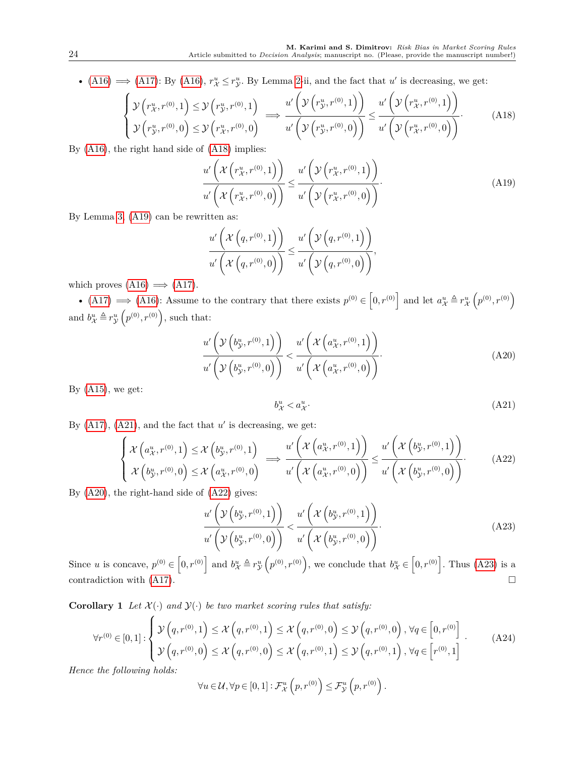• [\(A16\)](#page-22-4)  $\implies$  [\(A17\)](#page-22-5): By (A16),  $r^u_X \leq r^u_Y$ . By Lemma [2-](#page-20-0)ii, and the fact that *u'* is decreasing, we get:

<span id="page-23-0"></span>
$$
\begin{cases}\n\mathcal{Y}\left(r_{\mathcal{X}}^{u},r^{(0)},1\right) \leq \mathcal{Y}\left(r_{\mathcal{Y}}^{u},r^{(0)},1\right) \\
\mathcal{Y}\left(r_{\mathcal{Y}}^{u},r^{(0)},0\right) \leq \mathcal{Y}\left(r_{\mathcal{X}}^{u},r^{(0)},0\right)\n\end{cases} \Longrightarrow \frac{u'\left(\mathcal{Y}\left(r_{\mathcal{Y}}^{u},r^{(0)},1\right)\right)}{u'\left(\mathcal{Y}\left(r_{\mathcal{Y}}^{u},r^{(0)},0\right)\right)} \leq \frac{u'\left(\mathcal{Y}\left(r_{\mathcal{X}}^{u},r^{(0)},1\right)\right)}{u'\left(\mathcal{Y}\left(r_{\mathcal{X}}^{u},r^{(0)},0\right)\right)}.\n\tag{A18}
$$

By [\(A16\)](#page-22-4), the right hand side of [\(A18\)](#page-23-0) implies:

<span id="page-23-1"></span>
$$
\frac{u'\left(\mathcal{X}\left(r_{\mathcal{X}}^{u},r^{(0)},1\right)\right)}{u'\left(\mathcal{X}\left(r_{\mathcal{X}}^{u},r^{(0)},0\right)\right)} \leq \frac{u'\left(\mathcal{Y}\left(r_{\mathcal{X}}^{u},r^{(0)},1\right)\right)}{u'\left(\mathcal{Y}\left(r_{\mathcal{X}}^{u},r^{(0)},0\right)\right)}.
$$
\n(A19)

By Lemma [3,](#page-21-4) [\(A19\)](#page-23-1) can be rewritten as:

$$
\frac{u'\left(\mathcal{X}\left(q,r^{(0)},1\right)\right)}{u'\left(\mathcal{X}\left(q,r^{(0)},0\right)\right)} \leq \frac{u'\left(\mathcal{Y}\left(q,r^{(0)},1\right)\right)}{u'\left(\mathcal{Y}\left(q,r^{(0)},0\right)\right)},
$$

which proves  $(A16) \implies (A17)$  $(A16) \implies (A17)$  $(A16) \implies (A17)$ .

• [\(A17\)](#page-22-5)  $\implies$  [\(A16\)](#page-22-4): Assume to the contrary that there exists  $p^{(0)} \in [0, r^{(0)}]$  and let  $a^u_x \triangleq r^u_x(p^{(0)}, r^{(0)})$ and  $b^u_\mathcal{X} \triangleq r^u_\mathcal{Y}\left(p^{(0)}, r^{(0)}\right)$ , such that:

<span id="page-23-3"></span>
$$
\frac{u'\left(\mathcal{Y}\left(b_{\mathcal{Y}}^{u},r^{(0)},1\right)\right)}{u'\left(\mathcal{Y}\left(b_{\mathcal{Y}}^{u},r^{(0)},0\right)\right)} < \frac{u'\left(\mathcal{X}\left(a_{\mathcal{X}}^{u},r^{(0)},1\right)\right)}{u'\left(\mathcal{X}\left(a_{\mathcal{X}}^{u},r^{(0)},0\right)\right)}.\tag{A20}
$$

By  $(A15)$ , we get:

<span id="page-23-2"></span>
$$
b^u_{\mathcal{X}} < a^u_{\mathcal{X}}.\tag{A21}
$$

By  $(A17)$ ,  $(A21)$ , and the fact that  $u'$  is decreasing, we get:

<span id="page-23-4"></span>
$$
\begin{cases}\n\mathcal{X}\left(a_{\mathcal{X}}^{u},r^{(0)},1\right) \leq \mathcal{X}\left(b_{\mathcal{Y}}^{u},r^{(0)},1\right) \\
\mathcal{X}\left(b_{\mathcal{Y}}^{u},r^{(0)},0\right) \leq \mathcal{X}\left(a_{\mathcal{X}}^{u},r^{(0)},0\right)\n\end{cases} \Longrightarrow \frac{u'\left(\mathcal{X}\left(a_{\mathcal{X}}^{u},r^{(0)},1\right)\right)}{u'\left(\mathcal{X}\left(a_{\mathcal{X}}^{u},r^{(0)},0\right)\right)} \leq \frac{u'\left(\mathcal{X}\left(b_{\mathcal{Y}}^{u},r^{(0)},1\right)\right)}{u'\left(\mathcal{X}\left(b_{\mathcal{Y}}^{u},r^{(0)},0\right)\right)}.\n\tag{A22}
$$

By [\(A20\)](#page-23-3), the right-hand side of [\(A22\)](#page-23-4) gives:

<span id="page-23-5"></span>
$$
\frac{u'\left(\mathcal{Y}\left(b_{\mathcal{Y}}^{u},r^{(0)},1\right)\right)}{u'\left(\mathcal{Y}\left(b_{\mathcal{Y}}^{u},r^{(0)},0\right)\right)} < \frac{u'\left(\mathcal{X}\left(b_{\mathcal{Y}}^{u},r^{(0)},1\right)\right)}{u'\left(\mathcal{X}\left(b_{\mathcal{Y}}^{u},r^{(0)},0\right)\right)}.\tag{A23}
$$

Since *u* is concave,  $p^{(0)} \in (0, r^{(0)}]$  and  $b_{\mathcal{X}}^u \triangleq r_{\mathcal{Y}}^u(p^{(0)}, r^{(0)})$ , we conclude that  $b_{\mathcal{X}}^u \in (0, r^{(0)}]$ . Thus [\(A23\)](#page-23-5) is a contradiction with  $(A17)$ .

**Corollary 1** *Let*  $\mathcal{X}(\cdot)$  *and*  $\mathcal{Y}(\cdot)$  *be two market scoring rules that satisfy:* 

<span id="page-23-6"></span>
$$
\forall r^{(0)} \in [0,1]: \begin{cases} \mathcal{Y}(q,r^{(0)},1) \leq \mathcal{X}(q,r^{(0)},1) \leq \mathcal{X}(q,r^{(0)},0) \leq \mathcal{Y}(q,r^{(0)},0), \forall q \in [0,r^{(0)}] \\ \mathcal{Y}(q,r^{(0)},0) \leq \mathcal{X}(q,r^{(0)},0) \leq \mathcal{X}(q,r^{(0)},1) \leq \mathcal{Y}(q,r^{(0)},1), \forall q \in [r^{(0)},1] \end{cases} (A24)
$$

*Hence the following holds:*

$$
\forall u \in \mathcal{U}, \forall p \in [0,1]: \mathcal{F}^u_{\mathcal{X}}\left(p, r^{(0)}\right) \leq \mathcal{F}^u_{\mathcal{Y}}\left(p, r^{(0)}\right).
$$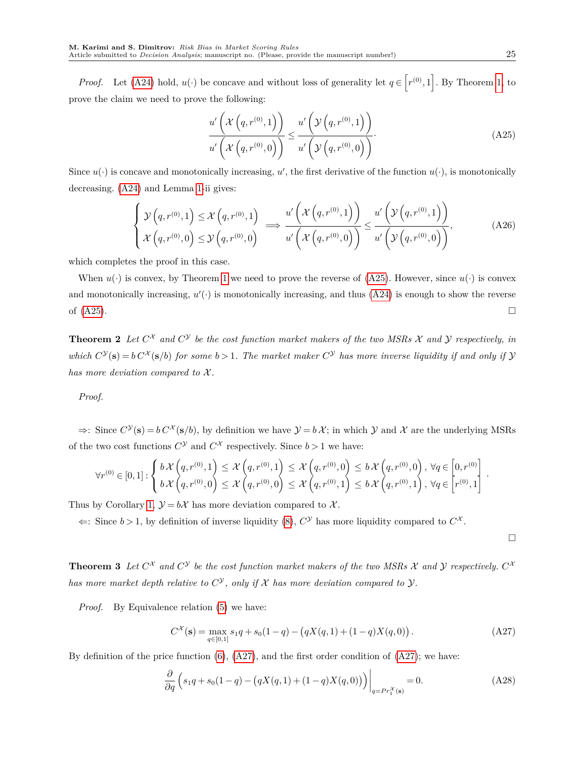*Proof.* Let [\(A24\)](#page-23-6) hold,  $u(\cdot)$  be concave and without loss of generality let  $q \in [r^{(0)}, 1]$ . By Theorem [1,](#page-12-1) to prove the claim we need to prove the following:

<span id="page-24-0"></span>
$$
\frac{u'\left(\mathcal{X}\left(q,r^{(0)},1\right)\right)}{u'\left(\mathcal{X}\left(q,r^{(0)},0\right)\right)} \leq \frac{u'\left(\mathcal{Y}\left(q,r^{(0)},1\right)\right)}{u'\left(\mathcal{Y}\left(q,r^{(0)},0\right)\right)}.\tag{A25}
$$

Since  $u(\cdot)$  is concave and monotonically increasing,  $u'$ , the first derivative of the function  $u(\cdot)$ , is monotonically decreasing. [\(A24\)](#page-23-6) and Lemma [1-](#page-20-3)ii gives:

$$
\begin{cases}\n\mathcal{Y}\left(q,r^{(0)},1\right) \leq \mathcal{X}\left(q,r^{(0)},1\right) & \implies \frac{u'\left(\mathcal{X}\left(q,r^{(0)},1\right)\right)}{u'\left(\mathcal{X}\left(q,r^{(0)},0\right)\right)} \leq \frac{u'\left(\mathcal{Y}\left(q,r^{(0)},1\right)\right)}{u'\left(\mathcal{X}\left(q,r^{(0)},0\right)\right)} & \text{(A26)} \\
\end{cases}
$$

which completes the proof in this case.

When  $u(\cdot)$  is convex, by Theorem [1](#page-12-1) we need to prove the reverse of [\(A25\)](#page-24-0). However, since  $u(\cdot)$  is convex and monotonically increasing,  $u'(\cdot)$  is monotonically increasing, and thus  $(A24)$  is enough to show the reverse of  $(A25)$ .

**Theorem 2** Let  $C^X$  and  $C^Y$  be the cost function market makers of the two MSRs X and Y respectively, in *which*  $C^{\mathcal{Y}}(\mathbf{s}) = b C^{\mathcal{X}}(\mathbf{s}/b)$  for some  $b > 1$ . The market maker  $C^{\mathcal{Y}}$  has more inverse liquidity if and only if  $\mathcal{Y}$ *has more deviation compared to*  $X$ *.* 

*Proof.*

 $\Rightarrow$ : Since  $C^{\mathcal{Y}}(\mathbf{s}) = b C^{\mathcal{X}}(\mathbf{s}/b)$ , by definition we have  $\mathcal{Y} = b \mathcal{X}$ ; in which  $\mathcal{Y}$  and  $\mathcal{X}$  are the underlying MSRs of the two cost functions  $C^{\mathcal{Y}}$  and  $C^{\mathcal{X}}$  respectively. Since  $b > 1$  we have:

$$
\forall r^{(0)} \in [0,1]: \begin{cases} b\mathcal{X}\left(q,r^{(0)},1\right) \leq \mathcal{X}\left(q,r^{(0)},1\right) \leq \mathcal{X}\left(q,r^{(0)},0\right) \leq b\mathcal{X}\left(q,r^{(0)},0\right), \forall q \in \left[0,r^{(0)}\right] \\ b\mathcal{X}\left(q,r^{(0)},0\right) \leq \mathcal{X}\left(q,r^{(0)},0\right) \leq \mathcal{X}\left(q,r^{(0)},1\right) \leq b\mathcal{X}\left(q,r^{(0)},1\right), \forall q \in \left[r^{(0)},1\right].\end{cases}
$$

Thus by Corollary [1,](#page-13-0)  $\mathcal{Y} = b\mathcal{X}$  has more deviation compared to  $\mathcal{X}$ .

 $\Leftarrow$ : Since  $b > 1$ , by definition of inverse liquidity [\(8\)](#page-9-1),  $C^{\gamma}$  has more liquidity compared to  $C^{\chi}$ .

 $\Box$ 

**Theorem 3** Let  $C^{\chi}$  and  $C^{\gamma}$  be the cost function market makers of the two MSRs X and Y respectively.  $C^{\chi}$ *has more market depth relative to*  $C^{\mathcal{Y}}$ *, only if*  $\mathcal X$  *has more deviation compared to*  $\mathcal Y$ *.* 

*Proof.* By Equivalence relation [\(5\)](#page-7-3) we have:

<span id="page-24-1"></span>
$$
C^{\mathcal{X}}(\mathbf{s}) = \max_{q \in [0,1]} s_1 q + s_0 (1 - q) - (qX(q, 1) + (1 - q)X(q, 0)). \tag{A27}
$$

By definition of the price function  $(6)$ ,  $(A27)$ , and the first order condition of  $(A27)$ ; we have:

<span id="page-24-2"></span>
$$
\frac{\partial}{\partial q} \left( s_1 q + s_0 (1 - q) - \left( q X(q, 1) + (1 - q) X(q, 0) \right) \right) \Big|_{q = Pr_1^X(\mathbf{s})} = 0. \tag{A28}
$$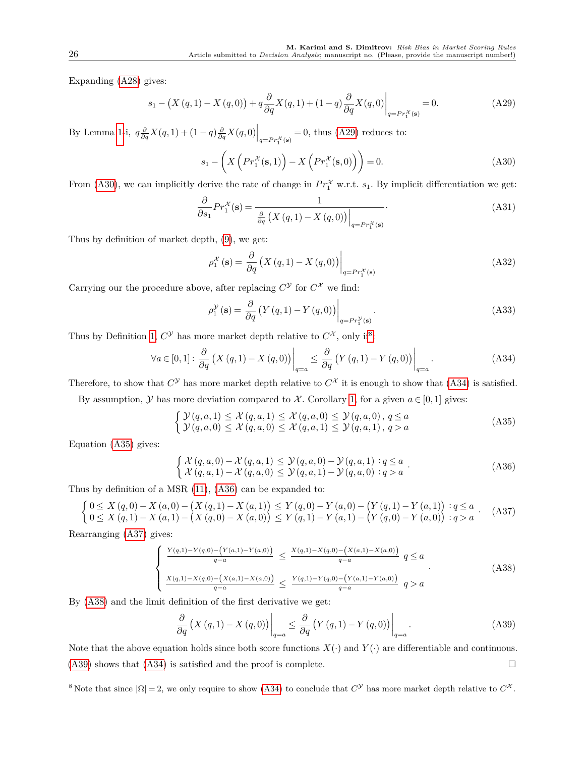Expanding [\(A28\)](#page-24-2) gives:

<span id="page-25-0"></span>
$$
s_1 - \left(X(q,1) - X(q,0)\right) + q\frac{\partial}{\partial q}X(q,1) + (1-q)\frac{\partial}{\partial q}X(q,0)\Big|_{q = Pr_1^{\mathcal{X}}(s)} = 0.
$$
 (A29)

By Lemma [1-](#page-20-3)i,  $q\frac{\partial}{\partial q}X(q,1) + (1-q)\frac{\partial}{\partial q}X(q,0)\Big|_{q=P r_1^{\mathcal{X}}(\mathbf{s})} = 0$ , thus [\(A29\)](#page-25-0) reduces to:

<span id="page-25-1"></span>
$$
s_1 - \left(X\left(Pr_1^{\mathcal{X}}(\mathbf{s},1)\right) - X\left(Pr_1^{\mathcal{X}}(\mathbf{s},0)\right)\right) = 0.
$$
 (A30)

From [\(A30\)](#page-25-1), we can implicitly derive the rate of change in  $Pr_1^{\mathcal{X}}$  w.r.t.  $s_1$ . By implicit differentiation we get:

$$
\frac{\partial}{\partial s_1} Pr_1^{\mathcal{X}}(\mathbf{s}) = \frac{1}{\frac{\partial}{\partial q} \left( X(q, 1) - X(q, 0) \right) \Big|_{q = Pr_1^{\mathcal{X}}(\mathbf{s})}}.
$$
\n(A31)

Thus by definition of market depth, [\(9\)](#page-9-2), we get:

$$
\rho_1^{\mathcal{X}}(\mathbf{s}) = \left. \frac{\partial}{\partial q} \left( X \left( q, 1 \right) - X \left( q, 0 \right) \right) \right|_{q = Pr_1^{\mathcal{X}}(\mathbf{s})}
$$
\n(A32)

Carrying our the procedure above, after replacing  $C^{\gamma}$  for  $C^{\chi}$  we find:

$$
\rho_1^{\mathcal{Y}}(\mathbf{s}) = \left. \frac{\partial}{\partial q} \left( Y(q, 1) - Y(q, 0) \right) \right|_{q = Pr_1^{\mathcal{Y}}(\mathbf{s})}.
$$
\n(A33)

Thus by Definition [1,](#page-9-0)  $C^{\mathcal{Y}}$  has more market depth relative to  $C^{\mathcal{X}}$ , only if<sup>[8](#page-25-2)</sup>:

<span id="page-25-3"></span>
$$
\forall a \in [0,1]: \left. \frac{\partial}{\partial q} \left( X \left( q, 1 \right) - X \left( q, 0 \right) \right) \right|_{q=a} \le \left. \frac{\partial}{\partial q} \left( Y \left( q, 1 \right) - Y \left( q, 0 \right) \right) \right|_{q=a}.
$$
 (A34)

Therefore, to show that  $C^{\mathcal{Y}}$  has more market depth relative to  $C^{\mathcal{X}}$  it is enough to show that [\(A34\)](#page-25-3) is satisfied.

By assumption,  $Y$  has more deviation compared to  $X$ . Corollary [1,](#page-13-0) for a given  $a \in [0,1]$  gives:

<span id="page-25-4"></span>
$$
\begin{cases}\n\mathcal{Y}(q,a,1) \leq \mathcal{X}(q,a,1) \leq \mathcal{X}(q,a,0) \leq \mathcal{Y}(q,a,0), \, q \leq a \\
\mathcal{Y}(q,a,0) \leq \mathcal{X}(q,a,0) \leq \mathcal{X}(q,a,1) \leq \mathcal{Y}(q,a,1), \, q > a\n\end{cases}
$$
\n(A35)

Equation [\(A35\)](#page-25-4) gives:

<span id="page-25-5"></span>
$$
\begin{cases}\n\mathcal{X}(q,a,0) - \mathcal{X}(q,a,1) \leq \mathcal{Y}(q,a,0) - \mathcal{Y}(q,a,1) : q \leq a \\
\mathcal{X}(q,a,1) - \mathcal{X}(q,a,0) \leq \mathcal{Y}(q,a,1) - \mathcal{Y}(q,a,0) : q > a\n\end{cases}.
$$
\n(A36)

Thus by definition of a MSR [\(11\)](#page-10-3), [\(A36\)](#page-25-5) can be expanded to:

<span id="page-25-6"></span>
$$
\begin{cases}\n0 \leq X(q,0) - X(a,0) - (X(q,1) - X(a,1)) \leq Y(q,0) - Y(a,0) - (Y(q,1) - Y(a,1)) : q \leq a \\
0 \leq X(q,1) - X(a,1) - (X(q,0) - X(a,0)) \leq Y(q,1) - Y(a,1) - (Y(q,0) - Y(a,0)) : q > a\n\end{cases} (A37)
$$

Rearranging [\(A37\)](#page-25-6) gives:

<span id="page-25-7"></span>
$$
\begin{cases} \frac{Y(q,1)-Y(q,0)-\left(Y(a,1)-Y(a,0)\right)}{q-a} \leq \frac{X(q,1)-X(q,0)-\left(X(a,1)-X(a,0)\right)}{q-a} \quad q \leq a\\ \frac{X(q,1)-X(q,0)-\left(X(a,1)-X(a,0)\right)}{q-a} \leq \frac{Y(q,1)-Y(q,0)-\left(Y(a,1)-Y(a,0)\right)}{q-a} \quad q > a \end{cases} \tag{A38}
$$

By [\(A38\)](#page-25-7) and the limit definition of the first derivative we get:

<span id="page-25-8"></span>
$$
\frac{\partial}{\partial q}\left(X(q,1) - X(q,0)\right)\Big|_{q=a} \le \frac{\partial}{\partial q}\left(Y(q,1) - Y(q,0)\right)\Big|_{q=a}.\tag{A39}
$$

Note that the above equation holds since both score functions  $X(\cdot)$  and  $Y(\cdot)$  are differentiable and continuous.  $(A39)$  shows that  $(A34)$  is satisfied and the proof is complete.

<span id="page-25-2"></span><sup>8</sup> Note that since  $|\Omega| = 2$ , we only require to show [\(A34\)](#page-25-3) to conclude that  $C^{\mathcal{Y}}$  has more market depth relative to  $C^{\mathcal{X}}$ .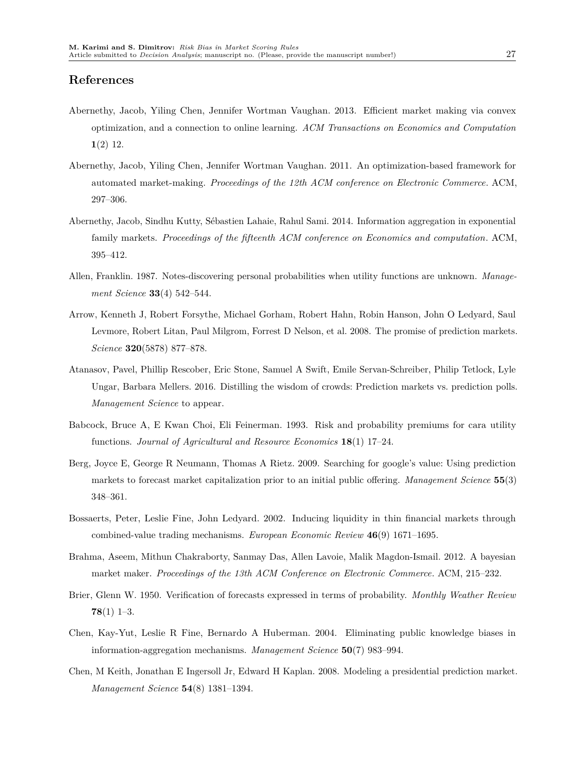## **References**

- <span id="page-26-10"></span>Abernethy, Jacob, Yiling Chen, Jennifer Wortman Vaughan. 2013. Efficient market making via convex optimization, and a connection to online learning. *ACM Transactions on Economics and Computation* **1**(2) 12.
- <span id="page-26-12"></span>Abernethy, Jacob, Yiling Chen, Jennifer Wortman Vaughan. 2011. An optimization-based framework for automated market-making. *Proceedings of the 12th ACM conference on Electronic Commerce*. ACM, 297–306.
- <span id="page-26-1"></span>Abernethy, Jacob, Sindhu Kutty, Sébastien Lahaie, Rahul Sami. 2014. Information aggregation in exponential family markets. *Proceedings of the fifteenth ACM conference on Economics and computation*. ACM, 395–412.
- <span id="page-26-2"></span>Allen, Franklin. 1987. Notes-discovering personal probabilities when utility functions are unknown. *Management Science* **33**(4) 542–544.
- <span id="page-26-0"></span>Arrow, Kenneth J, Robert Forsythe, Michael Gorham, Robert Hahn, Robin Hanson, John O Ledyard, Saul Levmore, Robert Litan, Paul Milgrom, Forrest D Nelson, et al. 2008. The promise of prediction markets. *Science* **320**(5878) 877–878.
- <span id="page-26-4"></span>Atanasov, Pavel, Phillip Rescober, Eric Stone, Samuel A Swift, Emile Servan-Schreiber, Philip Tetlock, Lyle Ungar, Barbara Mellers. 2016. Distilling the wisdom of crowds: Prediction markets vs. prediction polls. *Management Science* to appear.
- <span id="page-26-3"></span>Babcock, Bruce A, E Kwan Choi, Eli Feinerman. 1993. Risk and probability premiums for cara utility functions. *Journal of Agricultural and Resource Economics* **18**(1) 17–24.
- <span id="page-26-8"></span>Berg, Joyce E, George R Neumann, Thomas A Rietz. 2009. Searching for google's value: Using prediction markets to forecast market capitalization prior to an initial public offering. *Management Science* **55**(3) 348–361.
- <span id="page-26-7"></span>Bossaerts, Peter, Leslie Fine, John Ledyard. 2002. Inducing liquidity in thin financial markets through combined-value trading mechanisms. *European Economic Review* **46**(9) 1671–1695.
- <span id="page-26-11"></span>Brahma, Aseem, Mithun Chakraborty, Sanmay Das, Allen Lavoie, Malik Magdon-Ismail. 2012. A bayesian market maker. *Proceedings of the 13th ACM Conference on Electronic Commerce*. ACM, 215–232.
- <span id="page-26-9"></span>Brier, Glenn W. 1950. Verification of forecasts expressed in terms of probability. *Monthly Weather Review* **78**(1) 1–3.
- <span id="page-26-6"></span>Chen, Kay-Yut, Leslie R Fine, Bernardo A Huberman. 2004. Eliminating public knowledge biases in information-aggregation mechanisms. *Management Science* **50**(7) 983–994.
- <span id="page-26-5"></span>Chen, M Keith, Jonathan E Ingersoll Jr, Edward H Kaplan. 2008. Modeling a presidential prediction market. *Management Science* **54**(8) 1381–1394.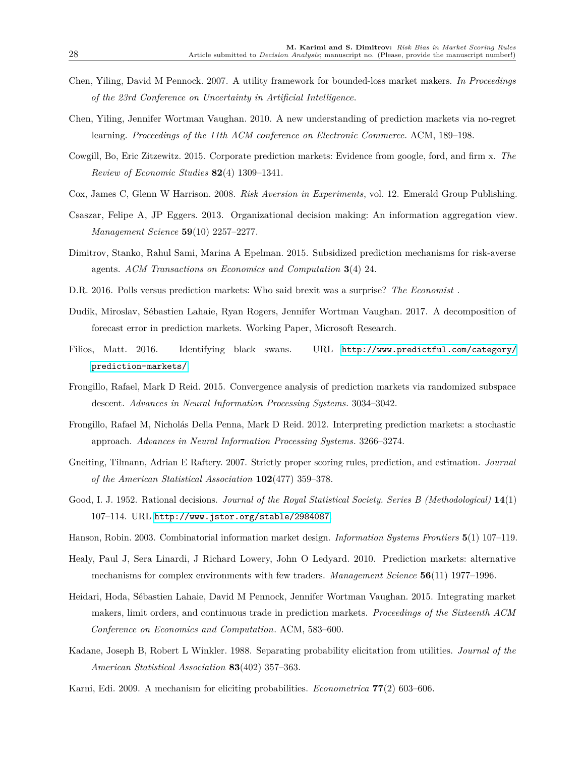- <span id="page-27-7"></span>Chen, Yiling, David M Pennock. 2007. A utility framework for bounded-loss market makers. *In Proceedings of the 23rd Conference on Uncertainty in Artificial Intelligence*.
- <span id="page-27-14"></span>Chen, Yiling, Jennifer Wortman Vaughan. 2010. A new understanding of prediction markets via no-regret learning. *Proceedings of the 11th ACM conference on Electronic Commerce*. ACM, 189–198.
- <span id="page-27-6"></span>Cowgill, Bo, Eric Zitzewitz. 2015. Corporate prediction markets: Evidence from google, ford, and firm x. *The Review of Economic Studies* **82**(4) 1309–1341.
- <span id="page-27-3"></span>Cox, James C, Glenn W Harrison. 2008. *Risk Aversion in Experiments*, vol. 12. Emerald Group Publishing.
- <span id="page-27-8"></span>Csaszar, Felipe A, JP Eggers. 2013. Organizational decision making: An information aggregation view. *Management Science* **59**(10) 2257–2277.
- <span id="page-27-2"></span>Dimitrov, Stanko, Rahul Sami, Marina A Epelman. 2015. Subsidized prediction mechanisms for risk-averse agents. *ACM Transactions on Economics and Computation* **3**(4) 24.
- <span id="page-27-1"></span>D.R. 2016. Polls versus prediction markets: Who said brexit was a surprise? *The Economist* .
- <span id="page-27-4"></span>Dudík, Miroslav, Sébastien Lahaie, Ryan Rogers, Jennifer Wortman Vaughan. 2017. A decomposition of forecast error in prediction markets. Working Paper, Microsoft Research.
- <span id="page-27-0"></span>Filios, Matt. 2016. Identifying black swans. URL [http://www.predictful.com/category/](http://www.predictful.com/category/prediction-markets/) [prediction-markets/](http://www.predictful.com/category/prediction-markets/).
- <span id="page-27-17"></span>Frongillo, Rafael, Mark D Reid. 2015. Convergence analysis of prediction markets via randomized subspace descent. *Advances in Neural Information Processing Systems*. 3034–3042.
- <span id="page-27-16"></span>Frongillo, Rafael M, Nicholás Della Penna, Mark D Reid. 2012. Interpreting prediction markets: a stochastic approach. *Advances in Neural Information Processing Systems*. 3266–3274.
- <span id="page-27-11"></span>Gneiting, Tilmann, Adrian E Raftery. 2007. Strictly proper scoring rules, prediction, and estimation. *Journal of the American Statistical Association* **102**(477) 359–378.
- <span id="page-27-10"></span>Good, I. J. 1952. Rational decisions. *Journal of the Royal Statistical Society. Series B (Methodological)* **14**(1) 107–114. URL <http://www.jstor.org/stable/2984087>.
- <span id="page-27-12"></span>Hanson, Robin. 2003. Combinatorial information market design. *Information Systems Frontiers* **5**(1) 107–119.
- <span id="page-27-9"></span>Healy, Paul J, Sera Linardi, J Richard Lowery, John O Ledyard. 2010. Prediction markets: alternative mechanisms for complex environments with few traders. *Management Science* **56**(11) 1977–1996.
- <span id="page-27-15"></span>Heidari, Hoda, Sébastien Lahaie, David M Pennock, Jennifer Wortman Vaughan. 2015. Integrating market makers, limit orders, and continuous trade in prediction markets. *Proceedings of the Sixteenth ACM Conference on Economics and Computation*. ACM, 583–600.
- <span id="page-27-13"></span>Kadane, Joseph B, Robert L Winkler. 1988. Separating probability elicitation from utilities. *Journal of the American Statistical Association* **83**(402) 357–363.
- <span id="page-27-5"></span>Karni, Edi. 2009. A mechanism for eliciting probabilities. *Econometrica* **77**(2) 603–606.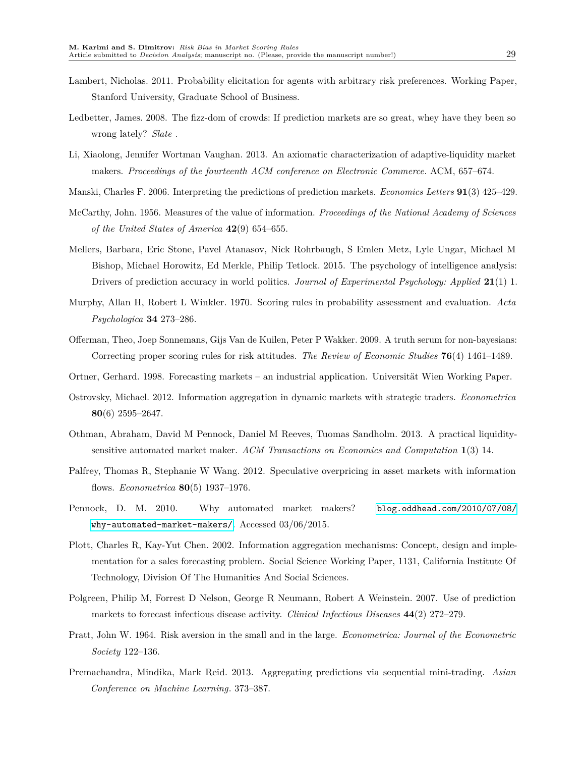- <span id="page-28-5"></span>Lambert, Nicholas. 2011. Probability elicitation for agents with arbitrary risk preferences. Working Paper, Stanford University, Graduate School of Business.
- <span id="page-28-3"></span>Ledbetter, James. 2008. The fizz-dom of crowds: If prediction markets are so great, whey have they been so wrong lately? *Slate* .
- <span id="page-28-16"></span>Li, Xiaolong, Jennifer Wortman Vaughan. 2013. An axiomatic characterization of adaptive-liquidity market makers. *Proceedings of the fourteenth ACM conference on Electronic Commerce*. ACM, 657–674.
- <span id="page-28-14"></span>Manski, Charles F. 2006. Interpreting the predictions of prediction markets. *Economics Letters* **91**(3) 425–429.
- <span id="page-28-10"></span>McCarthy, John. 1956. Measures of the value of information. *Proceedings of the National Academy of Sciences of the United States of America* **42**(9) 654–655.
- <span id="page-28-7"></span>Mellers, Barbara, Eric Stone, Pavel Atanasov, Nick Rohrbaugh, S Emlen Metz, Lyle Ungar, Michael M Bishop, Michael Horowitz, Ed Merkle, Philip Tetlock. 2015. The psychology of intelligence analysis: Drivers of prediction accuracy in world politics. *Journal of Experimental Psychology: Applied* **21**(1) 1.
- <span id="page-28-11"></span>Murphy, Allan H, Robert L Winkler. 1970. Scoring rules in probability assessment and evaluation. *Acta Psychologica* **34** 273–286.
- <span id="page-28-12"></span>Offerman, Theo, Joep Sonnemans, Gijs Van de Kuilen, Peter P Wakker. 2009. A truth serum for non-bayesians: Correcting proper scoring rules for risk attitudes. *The Review of Economic Studies* **76**(4) 1461–1489.
- <span id="page-28-0"></span>Ortner, Gerhard. 1998. Forecasting markets – an industrial application. Universität Wien Working Paper.
- <span id="page-28-8"></span>Ostrovsky, Michael. 2012. Information aggregation in dynamic markets with strategic traders. *Econometrica* **80**(6) 2595–2647.
- <span id="page-28-15"></span>Othman, Abraham, David M Pennock, Daniel M Reeves, Tuomas Sandholm. 2013. A practical liquiditysensitive automated market maker. *ACM Transactions on Economics and Computation* **1**(3) 14.
- <span id="page-28-9"></span>Palfrey, Thomas R, Stephanie W Wang. 2012. Speculative overpricing in asset markets with information flows. *Econometrica* **80**(5) 1937–1976.
- <span id="page-28-6"></span>Pennock, D. M. 2010. Why automated market makers? [blog.oddhead.com/2010/07/08/](blog.oddhead.com/2010/07/08/why-automated-market-makers/) [why-automated-market-makers/](blog.oddhead.com/2010/07/08/why-automated-market-makers/). Accessed 03/06/2015.
- <span id="page-28-1"></span>Plott, Charles R, Kay-Yut Chen. 2002. Information aggregation mechanisms: Concept, design and implementation for a sales forecasting problem. Social Science Working Paper, 1131, California Institute Of Technology, Division Of The Humanities And Social Sciences.
- <span id="page-28-2"></span>Polgreen, Philip M, Forrest D Nelson, George R Neumann, Robert A Weinstein. 2007. Use of prediction markets to forecast infectious disease activity. *Clinical Infectious Diseases* **44**(2) 272–279.
- <span id="page-28-4"></span>Pratt, John W. 1964. Risk aversion in the small and in the large. *Econometrica: Journal of the Econometric Society* 122–136.
- <span id="page-28-13"></span>Premachandra, Mindika, Mark Reid. 2013. Aggregating predictions via sequential mini-trading. *Asian Conference on Machine Learning*. 373–387.